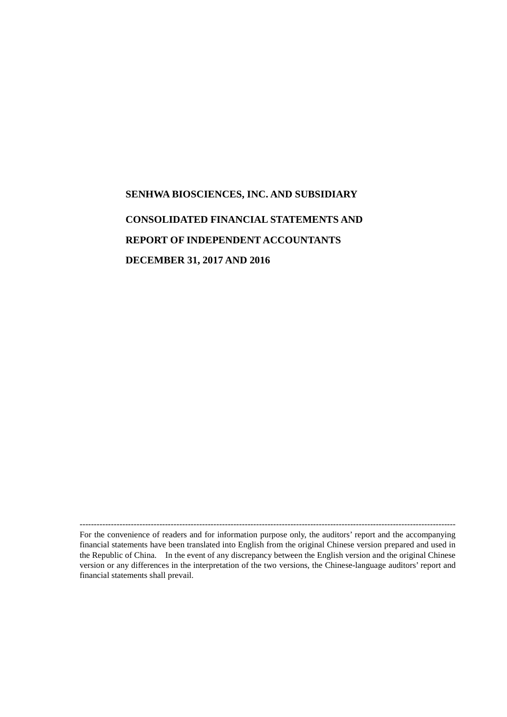# **SENHWA BIOSCIENCES, INC. AND SUBSIDIARY CONSOLIDATED FINANCIAL STATEMENTS AND REPORT OF INDEPENDENT ACCOUNTANTS DECEMBER 31, 2017 AND 2016**

For the convenience of readers and for information purpose only, the auditors' report and the accompanying financial statements have been translated into English from the original Chinese version prepared and used in the Republic of China. In the event of any discrepancy between the English version and the original Chinese version or any differences in the interpretation of the two versions, the Chinese-language auditors' report and financial statements shall prevail.

------------------------------------------------------------------------------------------------------------------------------------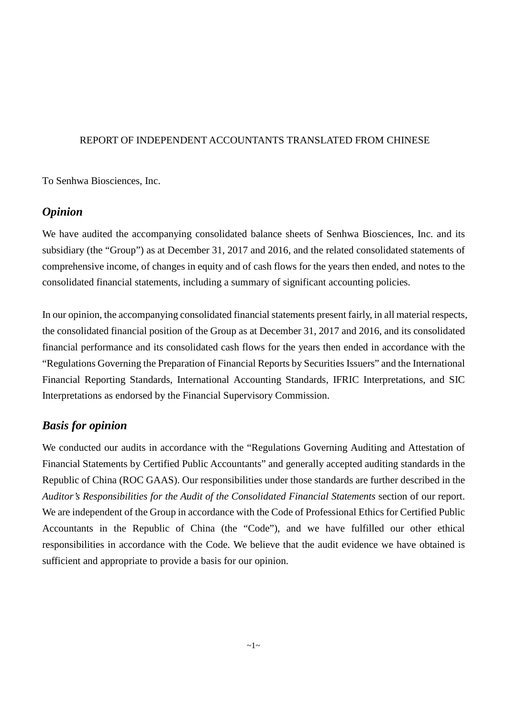#### REPORT OF INDEPENDENT ACCOUNTANTS TRANSLATED FROM CHINESE

To Senhwa Biosciences, Inc.

## *Opinion*

We have audited the accompanying consolidated balance sheets of Senhwa Biosciences, Inc. and its subsidiary (the "Group") as at December 31, 2017 and 2016, and the related consolidated statements of comprehensive income, of changes in equity and of cash flows for the years then ended, and notes to the consolidated financial statements, including a summary of significant accounting policies.

In our opinion, the accompanying consolidated financial statements present fairly, in all material respects, the consolidated financial position of the Group as at December 31, 2017 and 2016, and its consolidated financial performance and its consolidated cash flows for the years then ended in accordance with the "Regulations Governing the Preparation of Financial Reports by Securities Issuers" and the International Financial Reporting Standards, International Accounting Standards, IFRIC Interpretations, and SIC Interpretations as endorsed by the Financial Supervisory Commission.

## *Basis for opinion*

We conducted our audits in accordance with the "Regulations Governing Auditing and Attestation of Financial Statements by Certified Public Accountants" and generally accepted auditing standards in the Republic of China (ROC GAAS). Our responsibilities under those standards are further described in the *Auditor's Responsibilities for the Audit of the Consolidated Financial Statements* section of our report. We are independent of the Group in accordance with the Code of Professional Ethics for Certified Public Accountants in the Republic of China (the "Code"), and we have fulfilled our other ethical responsibilities in accordance with the Code. We believe that the audit evidence we have obtained is sufficient and appropriate to provide a basis for our opinion.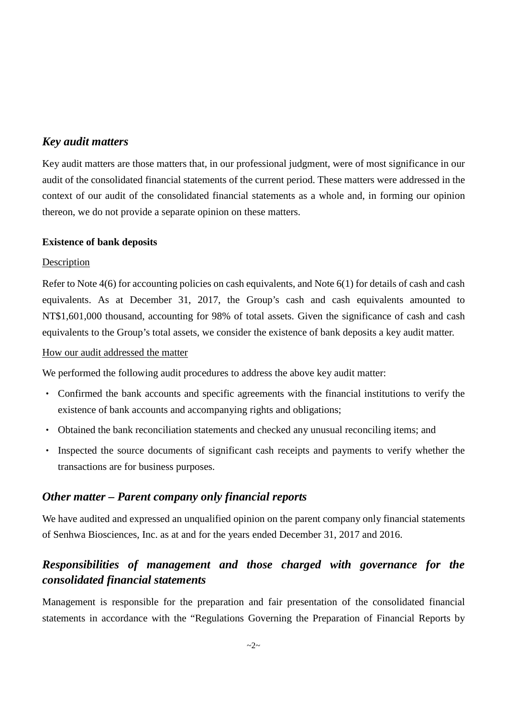## *Key audit matters*

Key audit matters are those matters that, in our professional judgment, were of most significance in our audit of the consolidated financial statements of the current period. These matters were addressed in the context of our audit of the consolidated financial statements as a whole and, in forming our opinion thereon, we do not provide a separate opinion on these matters.

#### **Existence of bank deposits**

#### Description

Refer to Note 4(6) for accounting policies on cash equivalents, and Note 6(1) for details of cash and cash equivalents. As at December 31, 2017, the Group's cash and cash equivalents amounted to NT\$1,601,000 thousand, accounting for 98% of total assets. Given the significance of cash and cash equivalents to the Group's total assets, we consider the existence of bank deposits a key audit matter.

#### How our audit addressed the matter

We performed the following audit procedures to address the above key audit matter:

- ‧ Confirmed the bank accounts and specific agreements with the financial institutions to verify the existence of bank accounts and accompanying rights and obligations;
- ‧ Obtained the bank reconciliation statements and checked any unusual reconciling items; and
- ‧ Inspected the source documents of significant cash receipts and payments to verify whether the transactions are for business purposes.

## *Other matter – Parent company only financial reports*

We have audited and expressed an unqualified opinion on the parent company only financial statements of Senhwa Biosciences, Inc. as at and for the years ended December 31, 2017 and 2016.

## *Responsibilities of management and those charged with governance for the consolidated financial statements*

Management is responsible for the preparation and fair presentation of the consolidated financial statements in accordance with the "Regulations Governing the Preparation of Financial Reports by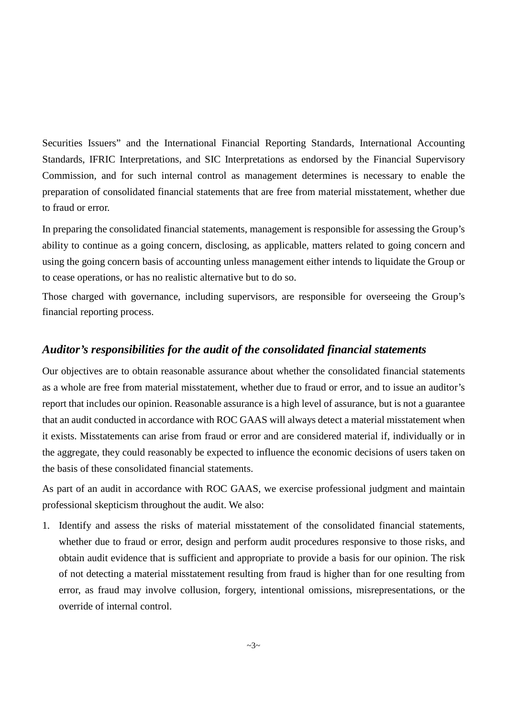Securities Issuers" and the International Financial Reporting Standards, International Accounting Standards, IFRIC Interpretations, and SIC Interpretations as endorsed by the Financial Supervisory Commission, and for such internal control as management determines is necessary to enable the preparation of consolidated financial statements that are free from material misstatement, whether due to fraud or error.

In preparing the consolidated financial statements, management is responsible for assessing the Group's ability to continue as a going concern, disclosing, as applicable, matters related to going concern and using the going concern basis of accounting unless management either intends to liquidate the Group or to cease operations, or has no realistic alternative but to do so.

Those charged with governance, including supervisors, are responsible for overseeing the Group's financial reporting process.

### *Auditor's responsibilities for the audit of the consolidated financial statements*

Our objectives are to obtain reasonable assurance about whether the consolidated financial statements as a whole are free from material misstatement, whether due to fraud or error, and to issue an auditor's report that includes our opinion. Reasonable assurance is a high level of assurance, but is not a guarantee that an audit conducted in accordance with ROC GAAS will always detect a material misstatement when it exists. Misstatements can arise from fraud or error and are considered material if, individually or in the aggregate, they could reasonably be expected to influence the economic decisions of users taken on the basis of these consolidated financial statements.

As part of an audit in accordance with ROC GAAS, we exercise professional judgment and maintain professional skepticism throughout the audit. We also:

1. Identify and assess the risks of material misstatement of the consolidated financial statements, whether due to fraud or error, design and perform audit procedures responsive to those risks, and obtain audit evidence that is sufficient and appropriate to provide a basis for our opinion. The risk of not detecting a material misstatement resulting from fraud is higher than for one resulting from error, as fraud may involve collusion, forgery, intentional omissions, misrepresentations, or the override of internal control.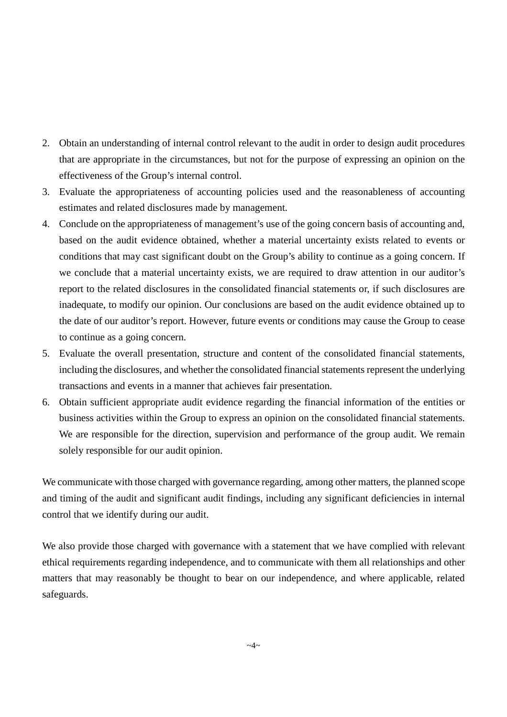- 2. Obtain an understanding of internal control relevant to the audit in order to design audit procedures that are appropriate in the circumstances, but not for the purpose of expressing an opinion on the effectiveness of the Group's internal control.
- 3. Evaluate the appropriateness of accounting policies used and the reasonableness of accounting estimates and related disclosures made by management.
- 4. Conclude on the appropriateness of management's use of the going concern basis of accounting and, based on the audit evidence obtained, whether a material uncertainty exists related to events or conditions that may cast significant doubt on the Group's ability to continue as a going concern. If we conclude that a material uncertainty exists, we are required to draw attention in our auditor's report to the related disclosures in the consolidated financial statements or, if such disclosures are inadequate, to modify our opinion. Our conclusions are based on the audit evidence obtained up to the date of our auditor's report. However, future events or conditions may cause the Group to cease to continue as a going concern.
- 5. Evaluate the overall presentation, structure and content of the consolidated financial statements, including the disclosures, and whether the consolidated financial statements represent the underlying transactions and events in a manner that achieves fair presentation.
- 6. Obtain sufficient appropriate audit evidence regarding the financial information of the entities or business activities within the Group to express an opinion on the consolidated financial statements. We are responsible for the direction, supervision and performance of the group audit. We remain solely responsible for our audit opinion.

We communicate with those charged with governance regarding, among other matters, the planned scope and timing of the audit and significant audit findings, including any significant deficiencies in internal control that we identify during our audit.

We also provide those charged with governance with a statement that we have complied with relevant ethical requirements regarding independence, and to communicate with them all relationships and other matters that may reasonably be thought to bear on our independence, and where applicable, related safeguards.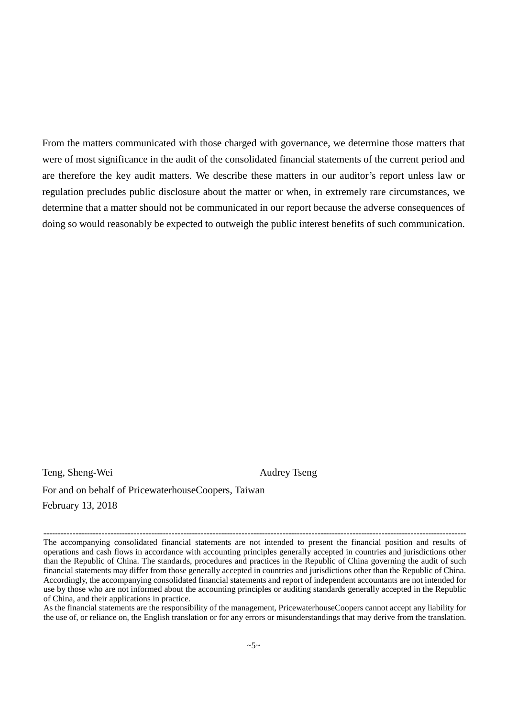From the matters communicated with those charged with governance, we determine those matters that were of most significance in the audit of the consolidated financial statements of the current period and are therefore the key audit matters. We describe these matters in our auditor's report unless law or regulation precludes public disclosure about the matter or when, in extremely rare circumstances, we determine that a matter should not be communicated in our report because the adverse consequences of doing so would reasonably be expected to outweigh the public interest benefits of such communication.

For and on behalf of PricewaterhouseCoopers, Taiwan February 13, 2018 Teng, Sheng-Wei Audrey Tseng

------------------------------------------------------------------------------------------------------------------------------------------------- The accompanying consolidated financial statements are not intended to present the financial position and results of operations and cash flows in accordance with accounting principles generally accepted in countries and jurisdictions other than the Republic of China. The standards, procedures and practices in the Republic of China governing the audit of such financial statements may differ from those generally accepted in countries and jurisdictions other than the Republic of China. Accordingly, the accompanying consolidated financial statements and report of independent accountants are not intended for use by those who are not informed about the accounting principles or auditing standards generally accepted in the Republic of China, and their applications in practice.

As the financial statements are the responsibility of the management, PricewaterhouseCoopers cannot accept any liability for the use of, or reliance on, the English translation or for any errors or misunderstandings that may derive from the translation.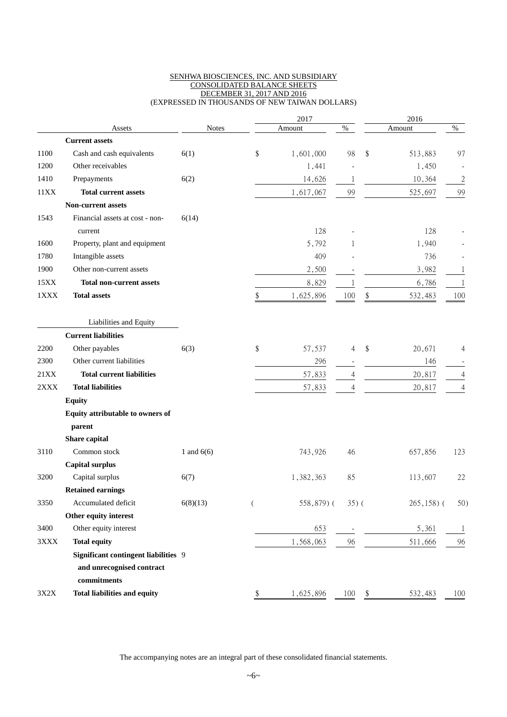#### SENHWA BIOSCIENCES, INC. AND SUBSIDIARY CONSOLIDATED BALANCE SHEETS DECEMBER 31, 2017 AND 2016 (EXPRESSED IN THOUSANDS OF NEW TAIWAN DOLLARS)

|      |                                            |              |                          | 2017      |              |                         | 2016           |                |
|------|--------------------------------------------|--------------|--------------------------|-----------|--------------|-------------------------|----------------|----------------|
|      | Assets                                     | <b>Notes</b> |                          | Amount    | $\%$         |                         | Amount         | %              |
|      | <b>Current assets</b>                      |              |                          |           |              |                         |                |                |
| 1100 | Cash and cash equivalents                  | 6(1)         | \$                       | 1,601,000 | 98           | \$                      | 513,883        | 97             |
| 1200 | Other receivables                          |              |                          | 1,441     |              |                         | 1,450          |                |
| 1410 | Prepayments                                | 6(2)         |                          | 14,626    | -1           |                         | 10,364         | $\overline{2}$ |
| 11XX | <b>Total current assets</b>                |              |                          | 1,617,067 | 99           |                         | 525,697        | 99             |
|      | <b>Non-current assets</b>                  |              |                          |           |              |                         |                |                |
| 1543 | Financial assets at cost - non-<br>current | 6(14)        |                          | 128       |              |                         | 128            |                |
| 1600 | Property, plant and equipment              |              |                          | 5,792     | 1            |                         | 1,940          |                |
| 1780 | Intangible assets                          |              |                          | 409       |              |                         | 736            |                |
| 1900 | Other non-current assets                   |              |                          | 2,500     |              |                         | 3,982          | 1              |
| 15XX | <b>Total non-current assets</b>            |              |                          | 8,829     | $\mathbf{1}$ |                         | 6,786          | 1              |
| 1XXX | <b>Total assets</b>                        |              | \$                       | 1,625,896 | 100          | \$                      | 532,483        | 100            |
|      | Liabilities and Equity                     |              |                          |           |              |                         |                |                |
|      | <b>Current liabilities</b>                 |              |                          |           |              |                         |                |                |
| 2200 | Other payables                             | 6(3)         | \$                       | 57,537    | 4            | \$                      | 20,671         | 4              |
| 2300 | Other current liabilities                  |              |                          | 296       |              |                         | 146            |                |
| 21XX | <b>Total current liabilities</b>           |              |                          | 57,833    | 4            |                         | 20,817         | 4              |
| 2XXX | <b>Total liabilities</b>                   |              |                          | 57,833    |              |                         | 20,817         | 4              |
|      | <b>Equity</b>                              |              |                          |           |              |                         |                |                |
|      | Equity attributable to owners of           |              |                          |           |              |                         |                |                |
|      | parent                                     |              |                          |           |              |                         |                |                |
|      | Share capital                              |              |                          |           |              |                         |                |                |
| 3110 | Common stock                               | 1 and $6(6)$ |                          | 743,926   | 46           |                         | 657,856        | 123            |
|      | Capital surplus                            |              |                          |           |              |                         |                |                |
| 3200 | Capital surplus                            | 6(7)         |                          | 1,382,363 | 85           |                         | 113,607        | 22             |
|      | <b>Retained earnings</b>                   |              |                          |           |              |                         |                |                |
| 3350 | Accumulated deficit                        | 6(8)(13)     | $\overline{\phantom{a}}$ | 558,879)( | $35)$ (      |                         | $265, 158$ ) ( | 50)            |
|      | Other equity interest                      |              |                          |           |              |                         |                |                |
| 3400 | Other equity interest                      |              |                          | 653       |              |                         | 5,361          | -1             |
| 3XXX | <b>Total equity</b>                        |              |                          | 1,568,063 | 96           |                         | 511,666        | 96             |
|      | Significant contingent liabilities 9       |              |                          |           |              |                         |                |                |
|      | and unrecognised contract                  |              |                          |           |              |                         |                |                |
|      | commitments                                |              |                          |           |              |                         |                |                |
| 3X2X | <b>Total liabilities and equity</b>        |              | \$                       | 1,625,896 | 100          | $\sqrt[6]{\frac{1}{2}}$ | 532,483        | 100            |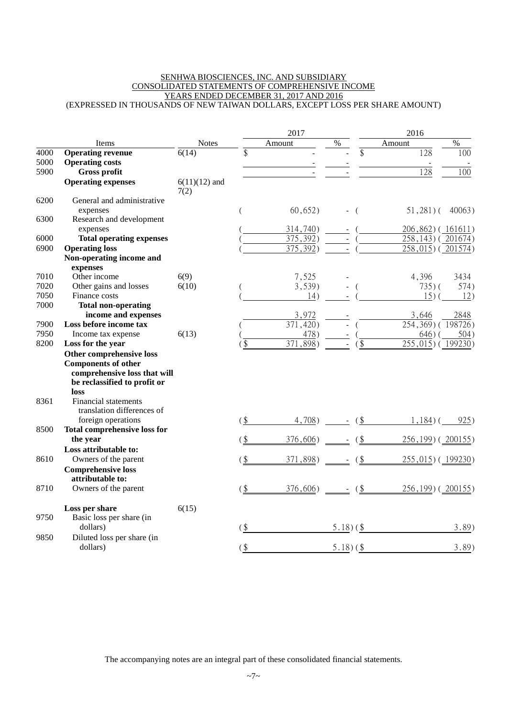#### SENHWA BIOSCIENCES, INC. AND SUBSIDIARY CONSOLIDATED STATEMENTS OF COMPREHENSIVE INCOME YEARS ENDED DECEMBER 31, 2017 AND 2016 (EXPRESSED IN THOUSANDS OF NEW TAIWAN DOLLARS, EXCEPT LOSS PER SHARE AMOUNT)

|                   |                                        |                         |                 | 2017        |                                            | 2016                          |                  |
|-------------------|----------------------------------------|-------------------------|-----------------|-------------|--------------------------------------------|-------------------------------|------------------|
|                   | Items                                  | <b>Notes</b>            |                 | Amount      | $\frac{0}{2}$                              | Amount                        | $\frac{0}{0}$    |
| $\overline{4000}$ | <b>Operating revenue</b>               | 6(14)                   | $\overline{\$}$ |             | \$                                         | $\overline{128}$              | 100              |
| 5000              | <b>Operating costs</b>                 |                         |                 |             |                                            |                               |                  |
| 5900              | <b>Gross profit</b>                    |                         |                 |             |                                            | 128                           | $\overline{100}$ |
|                   | <b>Operating expenses</b>              | $6(11)(12)$ and<br>7(2) |                 |             |                                            |                               |                  |
| 6200              | General and administrative<br>expenses |                         | $\overline{ }$  | 60,652)     | $\overline{ }$<br>$\overline{\phantom{0}}$ | $51,281$ ) (                  | 40063)           |
| 6300              | Research and development               |                         |                 |             |                                            |                               |                  |
|                   | expenses                               |                         |                 | 314,740)    |                                            | 206,862) (161611)             |                  |
| 6000              | <b>Total operating expenses</b>        |                         |                 | 375,392)    |                                            | $\overline{258}, 143$ ) (     | 201674)          |
| 6900              | <b>Operating loss</b>                  |                         |                 | 375,392)    |                                            | $258,015$ ) (                 | 201574)          |
|                   | Non-operating income and<br>expenses   |                         |                 |             |                                            |                               |                  |
| 7010              | Other income                           | 6(9)                    |                 | 7,525       |                                            | 4,396                         | 3434             |
| 7020              | Other gains and losses                 | 6(10)                   |                 | $3,539$ )   |                                            | 735(                          | 574)             |
| 7050              | Finance costs                          |                         |                 | 14)         |                                            | 15(                           | 12)              |
| 7000              | <b>Total non-operating</b>             |                         |                 |             |                                            |                               |                  |
|                   | income and expenses                    |                         |                 | 3,972       |                                            | 3,646                         | 2848             |
| 7900              | Loss before income tax                 |                         |                 | 371,420     |                                            | $\overline{254,369}$ (198726) |                  |
| 7950              | Income tax expense                     | 6(13)                   |                 | 478)        |                                            | $646$ ) (                     | 504)             |
| 8200              | Loss for the year                      |                         |                 | 371<br>,898 | $($ \$                                     | $\overline{255,015}$ )(       | 199230)          |
|                   | Other comprehensive loss               |                         |                 |             |                                            |                               |                  |
|                   | <b>Components of other</b>             |                         |                 |             |                                            |                               |                  |
|                   | comprehensive loss that will           |                         |                 |             |                                            |                               |                  |
|                   | be reclassified to profit or           |                         |                 |             |                                            |                               |                  |
|                   | loss<br>Financial statements           |                         |                 |             |                                            |                               |                  |
| 8361              | translation differences of             |                         |                 |             |                                            |                               |                  |
|                   | foreign operations                     |                         |                 | 4,708)      |                                            |                               |                  |
| 8500              | <b>Total comprehensive loss for</b>    |                         | (               |             | $\frac{1}{2}$<br>$\blacksquare$            | $1,184$ ) (                   | 925)             |
|                   | the year                               |                         | $($ \$          | 376,606)    | $($ \$                                     | 256, 199) (200155)            |                  |
|                   | Loss attributable to:                  |                         |                 |             |                                            |                               |                  |
| 8610              | Owners of the parent                   |                         | $\frac{1}{2}$   | 371,898)    | $($ \$                                     | $255,015$ (199230)            |                  |
|                   | <b>Comprehensive loss</b>              |                         |                 |             |                                            |                               |                  |
|                   | attributable to:                       |                         |                 |             |                                            |                               |                  |
| 8710              | Owners of the parent                   |                         | $($ \$          | 376,606)    | $\frac{3}{2}$<br>$\blacksquare$            | 256, 199) (200155)            |                  |
|                   |                                        |                         |                 |             |                                            |                               |                  |
|                   | Loss per share                         | 6(15)                   |                 |             |                                            |                               |                  |
| 9750              | Basic loss per share (in               |                         |                 |             |                                            |                               |                  |
|                   | dollars)                               |                         | $($ \$          |             | 5.18(                                      |                               | 3.89             |
| 9850              | Diluted loss per share (in             |                         |                 |             |                                            |                               |                  |
|                   | dollars)                               |                         | $\frac{1}{2}$   |             | (5.18)(                                    |                               | 3.89             |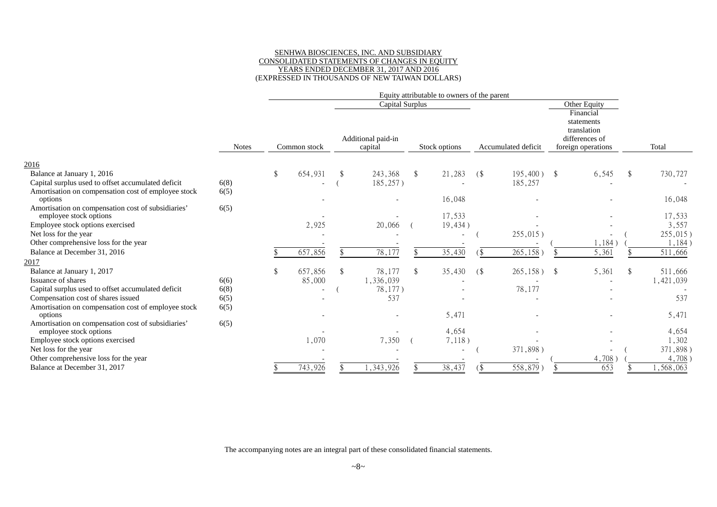#### SENHWA BIOSCIENCES, INC. AND SUBSIDIARY CONSOLIDATED STATEMENTS OF CHANGES IN EQUITY YEARS ENDED DECEMBER 31, 2017 AND 2016 (EXPRESSED IN THOUSANDS OF NEW TAIWAN DOLLARS)

|                                                            |              |     |                          |     |                               |               | Equity attributable to owners of the parent |     |                      |     |                                                                                |    |                 |
|------------------------------------------------------------|--------------|-----|--------------------------|-----|-------------------------------|---------------|---------------------------------------------|-----|----------------------|-----|--------------------------------------------------------------------------------|----|-----------------|
|                                                            |              |     |                          |     | Capital Surplus               |               |                                             |     |                      |     | Other Equity                                                                   |    |                 |
|                                                            | <b>Notes</b> |     | Common stock             |     | Additional paid-in<br>capital |               | Stock options                               |     | Accumulated deficit  |     | Financial<br>statements<br>translation<br>differences of<br>foreign operations |    | Total           |
| 2016                                                       |              |     |                          |     |                               |               |                                             |     |                      |     |                                                                                |    |                 |
| Balance at January 1, 2016                                 |              | \$  | 654,931                  | \$. | 243,368                       | <sup>\$</sup> | 21,283                                      | (   | $195,400$ )          | -\$ | 6,545                                                                          | -S | 730,727         |
| Capital surplus used to offset accumulated deficit         | 6(8)         |     |                          |     | 185,257)                      |               |                                             |     | 185,257              |     |                                                                                |    |                 |
| Amortisation on compensation cost of employee stock        | 6(5)         |     |                          |     |                               |               |                                             |     |                      |     |                                                                                |    |                 |
| options                                                    |              |     |                          |     |                               |               | 16,048                                      |     |                      |     |                                                                                |    | 16,048          |
| Amortisation on compensation cost of subsidiaries'         | 6(5)         |     |                          |     |                               |               |                                             |     |                      |     |                                                                                |    |                 |
| employee stock options<br>Employee stock options exercised |              |     | 2,925                    |     | 20,066                        |               | 17,533<br>19,434)                           |     |                      |     |                                                                                |    | 17,533<br>3,557 |
| Net loss for the year                                      |              |     |                          |     |                               |               |                                             |     | 255,015)             |     |                                                                                |    | $255,015$ )     |
| Other comprehensive loss for the year                      |              |     |                          |     |                               |               |                                             |     |                      |     | 1,184)                                                                         |    | 1,184           |
| Balance at December 31, 2016                               |              |     | 657,856                  |     | 78,177                        |               | 35,430                                      | (\$ | $\overline{265,158}$ |     | 5,361                                                                          |    | 511,666         |
| 2017                                                       |              |     |                          |     |                               |               |                                             |     |                      |     |                                                                                |    |                 |
| Balance at January 1, 2017                                 |              | \$. | 657,856                  | \$  | 78,177                        | $\mathcal{S}$ | 35,430                                      | (   | 265, 158)            | -S  | 5,361                                                                          |    | 511,666         |
| Issuance of shares                                         | 6(6)         |     | 85,000                   |     | 1,336,039                     |               |                                             |     |                      |     |                                                                                |    | 1,421,039       |
| Capital surplus used to offset accumulated deficit         | 6(8)         |     | $\overline{\phantom{a}}$ |     | 78,177)                       |               |                                             |     | 78,177               |     |                                                                                |    |                 |
| Compensation cost of shares issued                         | 6(5)         |     |                          |     | 537                           |               |                                             |     |                      |     |                                                                                |    | 537             |
| Amortisation on compensation cost of employee stock        | 6(5)         |     |                          |     |                               |               |                                             |     |                      |     |                                                                                |    |                 |
| options                                                    |              |     |                          |     |                               |               | 5,471                                       |     |                      |     |                                                                                |    | 5,471           |
| Amortisation on compensation cost of subsidiaries'         | 6(5)         |     |                          |     |                               |               |                                             |     |                      |     |                                                                                |    |                 |
| employee stock options                                     |              |     |                          |     |                               |               | 4,654                                       |     |                      |     |                                                                                |    | 4,654           |
| Employee stock options exercised                           |              |     | 1,070                    |     | 7,350                         |               | 7,118)                                      |     |                      |     |                                                                                |    | 1,302           |
| Net loss for the year                                      |              |     |                          |     |                               |               |                                             |     | 371,898)             |     |                                                                                |    | 371,898)        |
| Other comprehensive loss for the year                      |              |     |                          |     |                               |               |                                             |     |                      |     | 4,708                                                                          |    | 4,708           |
| Balance at December 31, 2017                               |              |     | 743,926                  |     | 1,343,926                     |               | 38,437                                      |     | 558,879              |     | 653                                                                            |    | ,568,063        |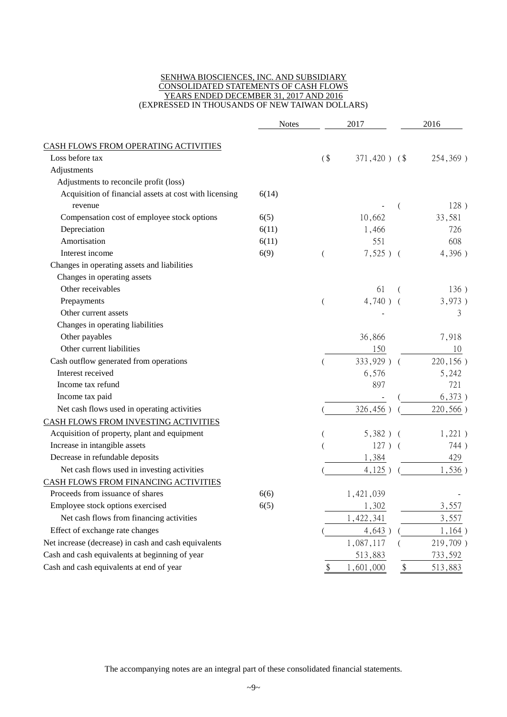#### SENHWA BIOSCIENCES, INC. AND SUBSIDIARY CONSOLIDATED STATEMENTS OF CASH FLOWS YEARS ENDED DECEMBER 31, 2017 AND 2016 (EXPRESSED IN THOUSANDS OF NEW TAIWAN DOLLARS)

|                                                        | <b>Notes</b> |               | 2017            |          | 2016      |
|--------------------------------------------------------|--------------|---------------|-----------------|----------|-----------|
| CASH FLOWS FROM OPERATING ACTIVITIES                   |              |               |                 |          |           |
| Loss before tax                                        |              | $($ \$        | $371,420$ ) (\$ |          | 254,369)  |
| Adjustments                                            |              |               |                 |          |           |
| Adjustments to reconcile profit (loss)                 |              |               |                 |          |           |
| Acquisition of financial assets at cost with licensing | 6(14)        |               |                 |          |           |
| revenue                                                |              |               |                 | $\left($ | 128)      |
| Compensation cost of employee stock options            | 6(5)         |               | 10,662          |          | 33,581    |
| Depreciation                                           | 6(11)        |               | 1,466           |          | 726       |
| Amortisation                                           | 6(11)        |               | 551             |          | 608       |
| Interest income                                        | 6(9)         | (             | $7,525$ ) (     |          | 4,396)    |
| Changes in operating assets and liabilities            |              |               |                 |          |           |
| Changes in operating assets                            |              |               |                 |          |           |
| Other receivables                                      |              |               | 61              |          | 136)      |
| Prepayments                                            |              | (             | $4,740)$ (      |          | 3,973)    |
| Other current assets                                   |              |               |                 |          | 3         |
| Changes in operating liabilities                       |              |               |                 |          |           |
| Other payables                                         |              |               | 36,866          |          | 7,918     |
| Other current liabilities                              |              |               | 150             |          | 10        |
| Cash outflow generated from operations                 |              |               | $333,929$ )     |          | 220,156)  |
| Interest received                                      |              |               | 6,576           |          | 5,242     |
| Income tax refund                                      |              |               | 897             |          | 721       |
| Income tax paid                                        |              |               |                 |          | 6,373)    |
| Net cash flows used in operating activities            |              |               | 326,456)        |          | 220,566)  |
| CASH FLOWS FROM INVESTING ACTIVITIES                   |              |               |                 |          |           |
| Acquisition of property, plant and equipment           |              |               | $5,382$ ) (     |          | $1,221$ ) |
| Increase in intangible assets                          |              |               | $127)$ (        |          | 744)      |
| Decrease in refundable deposits                        |              |               | 1,384           |          | 429       |
| Net cash flows used in investing activities            |              |               | 4,125)          |          | 1,536)    |
| CASH FLOWS FROM FINANCING ACTIVITIES                   |              |               |                 |          |           |
| Proceeds from issuance of shares                       | 6(6)         |               | 1,421,039       |          |           |
| Employee stock options exercised                       | 6(5)         |               | 1,302           |          | 3,557     |
| Net cash flows from financing activities               |              |               | 1,422,341       |          | 3,557     |
| Effect of exchange rate changes                        |              |               | 4,643)          |          | 1,164)    |
| Net increase (decrease) in cash and cash equivalents   |              |               | 1,087,117       |          | 219,709)  |
| Cash and cash equivalents at beginning of year         |              |               | 513,883         |          | 733,592   |
| Cash and cash equivalents at end of year               |              | $\frac{1}{2}$ | 1,601,000       | \$       | 513,883   |
|                                                        |              |               |                 |          |           |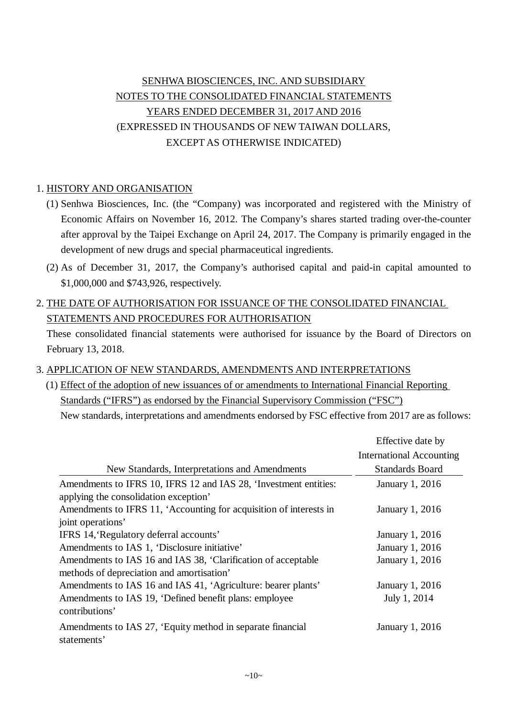## SENHWA BIOSCIENCES, INC. AND SUBSIDIARY NOTES TO THE CONSOLIDATED FINANCIAL STATEMENTS YEARS ENDED DECEMBER 31, 2017 AND 2016 (EXPRESSED IN THOUSANDS OF NEW TAIWAN DOLLARS, EXCEPT AS OTHERWISE INDICATED)

## 1. HISTORY AND ORGANISATION

- (1) Senhwa Biosciences, Inc. (the "Company) was incorporated and registered with the Ministry of Economic Affairs on November 16, 2012. The Company's shares started trading over-the-counter after approval by the Taipei Exchange on April 24, 2017. The Company is primarily engaged in the development of new drugs and special pharmaceutical ingredients.
- (2) As of December 31, 2017, the Company's authorised capital and paid-in capital amounted to \$1,000,000 and \$743,926, respectively.
- 2. THE DATE OF AUTHORISATION FOR ISSUANCE OF THE CONSOLIDATED FINANCIAL STATEMENTS AND PROCEDURES FOR AUTHORISATION

These consolidated financial statements were authorised for issuance by the Board of Directors on February 13, 2018.

- 3. APPLICATION OF NEW STANDARDS, AMENDMENTS AND INTERPRETATIONS
	- (1) Effect of the adoption of new issuances of or amendments to International Financial Reporting Standards ("IFRS") as endorsed by the Financial Supervisory Commission ("FSC") New standards, interpretations and amendments endorsed by FSC effective from 2017 are as follows:

|                                                                    | Effective date by               |
|--------------------------------------------------------------------|---------------------------------|
|                                                                    | <b>International Accounting</b> |
| New Standards, Interpretations and Amendments                      | <b>Standards Board</b>          |
| Amendments to IFRS 10, IFRS 12 and IAS 28, 'Investment entities:   | January 1, 2016                 |
| applying the consolidation exception'                              |                                 |
| Amendments to IFRS 11, 'Accounting for acquisition of interests in | January 1, 2016                 |
| joint operations'                                                  |                                 |
| IFRS 14, Regulatory deferral accounts'                             | January 1, 2016                 |
| Amendments to IAS 1, 'Disclosure initiative'                       | January 1, 2016                 |
| Amendments to IAS 16 and IAS 38, 'Clarification of acceptable      | January 1, 2016                 |
| methods of depreciation and amortisation'                          |                                 |
| Amendments to IAS 16 and IAS 41, 'Agriculture: bearer plants'      | January 1, 2016                 |
| Amendments to IAS 19, 'Defined benefit plans: employee             | July 1, 2014                    |
| contributions'                                                     |                                 |
| Amendments to IAS 27, 'Equity method in separate financial         | January 1, 2016                 |
| statements'                                                        |                                 |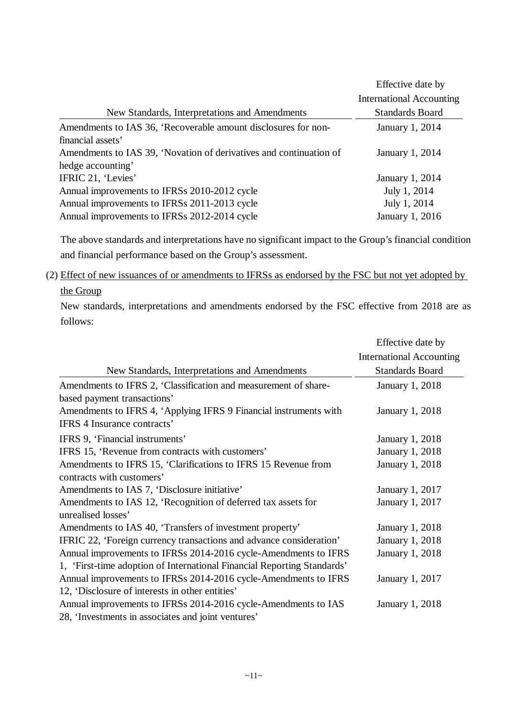|                                                                    | Effective date by<br><b>International Accounting</b> |
|--------------------------------------------------------------------|------------------------------------------------------|
| New Standards, Interpretations and Amendments                      | <b>Standards Board</b>                               |
|                                                                    |                                                      |
| Amendments to IAS 36, 'Recoverable amount disclosures for non-     | January 1, 2014                                      |
| financial assets'                                                  |                                                      |
| Amendments to IAS 39, 'Novation of derivatives and continuation of | January 1, 2014                                      |
| hedge accounting'                                                  |                                                      |
| IFRIC 21, 'Levies'                                                 | January 1, 2014                                      |
| Annual improvements to IFRSs 2010-2012 cycle                       | July 1, 2014                                         |
| Annual improvements to IFRSs 2011-2013 cycle                       | July 1, 2014                                         |
| Annual improvements to IFRSs 2012-2014 cycle                       | January 1, 2016                                      |

The above standards and interpretations have no significant impact to the Group's financial condition and financial performance based on the Group's assessment.

(2) Effect of new issuances of or amendments to IFRSs as endorsed by the FSC but not yet adopted by the Group

New standards, interpretations and amendments endorsed by the FSC effective from 2018 are as follows:

|                                                                         | Effective date by               |
|-------------------------------------------------------------------------|---------------------------------|
|                                                                         | <b>International Accounting</b> |
| New Standards, Interpretations and Amendments                           | <b>Standards Board</b>          |
| Amendments to IFRS 2, 'Classification and measurement of share-         | January 1, 2018                 |
| based payment transactions'                                             |                                 |
| Amendments to IFRS 4, 'Applying IFRS 9 Financial instruments with       | January 1, 2018                 |
| IFRS 4 Insurance contracts'                                             |                                 |
| IFRS 9, 'Financial instruments'                                         | January 1, 2018                 |
| IFRS 15, 'Revenue from contracts with customers'                        | January 1, 2018                 |
| Amendments to IFRS 15, 'Clarifications to IFRS 15 Revenue from          | January 1, 2018                 |
| contracts with customers'                                               |                                 |
| Amendments to IAS 7, 'Disclosure initiative'                            | January 1, 2017                 |
| Amendments to IAS 12, 'Recognition of deferred tax assets for           | January 1, 2017                 |
| unrealised losses'                                                      |                                 |
| Amendments to IAS 40, 'Transfers of investment property'                | January 1, 2018                 |
| IFRIC 22, 'Foreign currency transactions and advance consideration'     | January 1, 2018                 |
| Annual improvements to IFRSs 2014-2016 cycle-Amendments to IFRS         | January 1, 2018                 |
| 1, 'First-time adoption of International Financial Reporting Standards' |                                 |
| Annual improvements to IFRSs 2014-2016 cycle-Amendments to IFRS         | January 1, 2017                 |
| 12, 'Disclosure of interests in other entities'                         |                                 |
| Annual improvements to IFRSs 2014-2016 cycle-Amendments to IAS          | January 1, 2018                 |
| 28, 'Investments in associates and joint ventures'                      |                                 |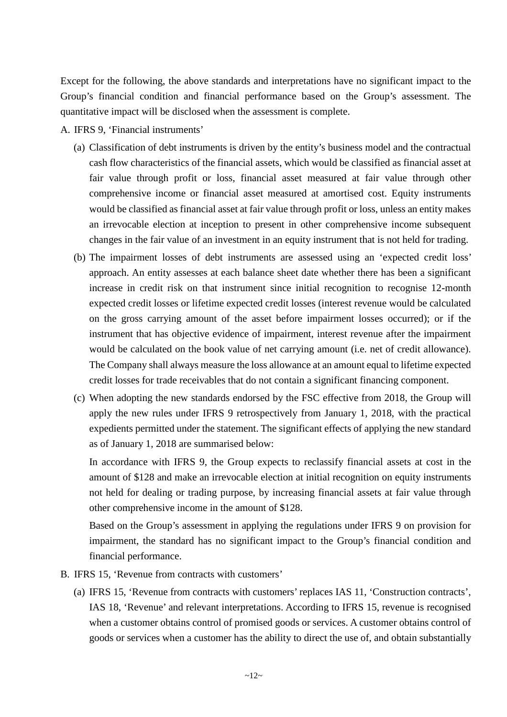Except for the following, the above standards and interpretations have no significant impact to the Group's financial condition and financial performance based on the Group's assessment. The quantitative impact will be disclosed when the assessment is complete.

- A. IFRS 9, 'Financial instruments'
	- (a) Classification of debt instruments is driven by the entity's business model and the contractual cash flow characteristics of the financial assets, which would be classified as financial asset at fair value through profit or loss, financial asset measured at fair value through other comprehensive income or financial asset measured at amortised cost. Equity instruments would be classified as financial asset at fair value through profit or loss, unless an entity makes an irrevocable election at inception to present in other comprehensive income subsequent changes in the fair value of an investment in an equity instrument that is not held for trading.
	- (b) The impairment losses of debt instruments are assessed using an 'expected credit loss' approach. An entity assesses at each balance sheet date whether there has been a significant increase in credit risk on that instrument since initial recognition to recognise 12-month expected credit losses or lifetime expected credit losses (interest revenue would be calculated on the gross carrying amount of the asset before impairment losses occurred); or if the instrument that has objective evidence of impairment, interest revenue after the impairment would be calculated on the book value of net carrying amount (i.e. net of credit allowance). The Company shall always measure the loss allowance at an amount equal to lifetime expected credit losses for trade receivables that do not contain a significant financing component.
	- (c) When adopting the new standards endorsed by the FSC effective from 2018, the Group will apply the new rules under IFRS 9 retrospectively from January 1, 2018, with the practical expedients permitted under the statement. The significant effects of applying the new standard as of January 1, 2018 are summarised below:

In accordance with IFRS 9, the Group expects to reclassify financial assets at cost in the amount of \$128 and make an irrevocable election at initial recognition on equity instruments not held for dealing or trading purpose, by increasing financial assets at fair value through other comprehensive income in the amount of \$128.

Based on the Group's assessment in applying the regulations under IFRS 9 on provision for impairment, the standard has no significant impact to the Group's financial condition and financial performance.

- B. IFRS 15, 'Revenue from contracts with customers'
	- (a) IFRS 15, 'Revenue from contracts with customers' replaces IAS 11, 'Construction contracts', IAS 18, 'Revenue' and relevant interpretations. According to IFRS 15, revenue is recognised when a customer obtains control of promised goods or services. A customer obtains control of goods or services when a customer has the ability to direct the use of, and obtain substantially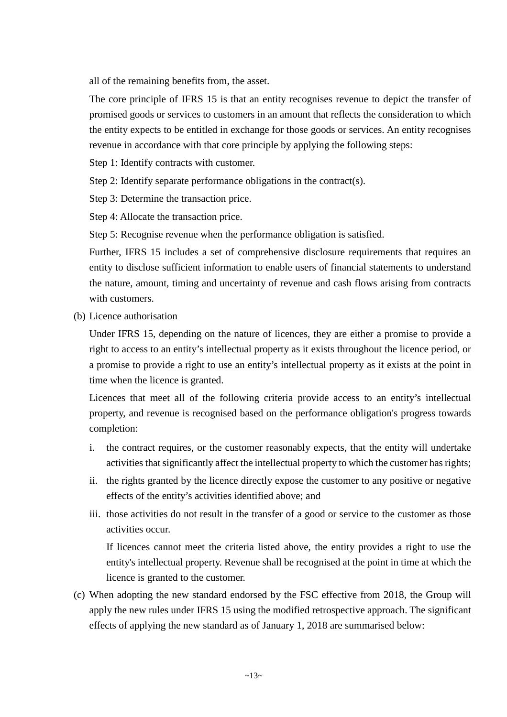all of the remaining benefits from, the asset.

The core principle of IFRS 15 is that an entity recognises revenue to depict the transfer of promised goods or services to customers in an amount that reflects the consideration to which the entity expects to be entitled in exchange for those goods or services. An entity recognises revenue in accordance with that core principle by applying the following steps:

Step 1: Identify contracts with customer.

Step 2: Identify separate performance obligations in the contract(s).

Step 3: Determine the transaction price.

Step 4: Allocate the transaction price.

Step 5: Recognise revenue when the performance obligation is satisfied.

Further, IFRS 15 includes a set of comprehensive disclosure requirements that requires an entity to disclose sufficient information to enable users of financial statements to understand the nature, amount, timing and uncertainty of revenue and cash flows arising from contracts with customers.

(b) Licence authorisation

Under IFRS 15, depending on the nature of licences, they are either a promise to provide a right to access to an entity's intellectual property as it exists throughout the licence period, or a promise to provide a right to use an entity's intellectual property as it exists at the point in time when the licence is granted.

Licences that meet all of the following criteria provide access to an entity's intellectual property, and revenue is recognised based on the performance obligation's progress towards completion:

- i. the contract requires, or the customer reasonably expects, that the entity will undertake activities that significantly affect the intellectual property to which the customer has rights;
- ii. the rights granted by the licence directly expose the customer to any positive or negative effects of the entity's activities identified above; and
- iii. those activities do not result in the transfer of a good or service to the customer as those activities occur.

If licences cannot meet the criteria listed above, the entity provides a right to use the entity's intellectual property. Revenue shall be recognised at the point in time at which the licence is granted to the customer.

(c) When adopting the new standard endorsed by the FSC effective from 2018, the Group will apply the new rules under IFRS 15 using the modified retrospective approach. The significant effects of applying the new standard as of January 1, 2018 are summarised below: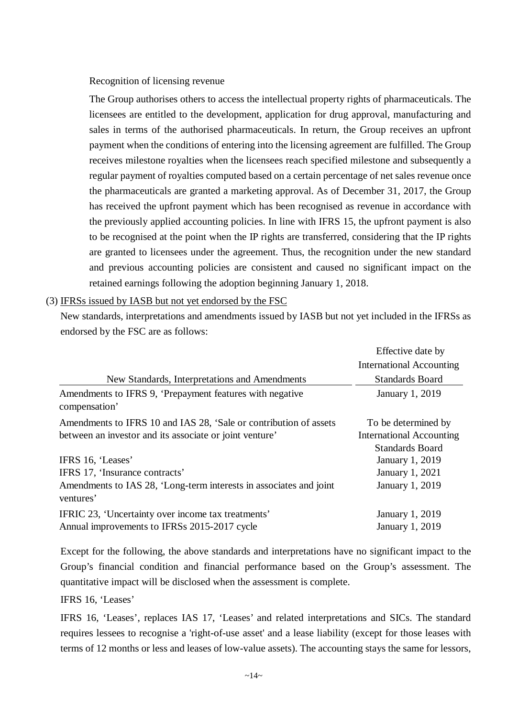#### Recognition of licensing revenue

The Group authorises others to access the intellectual property rights of pharmaceuticals. The licensees are entitled to the development, application for drug approval, manufacturing and sales in terms of the authorised pharmaceuticals. In return, the Group receives an upfront payment when the conditions of entering into the licensing agreement are fulfilled. The Group receives milestone royalties when the licensees reach specified milestone and subsequently a regular payment of royalties computed based on a certain percentage of net sales revenue once the pharmaceuticals are granted a marketing approval. As of December 31, 2017, the Group has received the upfront payment which has been recognised as revenue in accordance with the previously applied accounting policies. In line with IFRS 15, the upfront payment is also to be recognised at the point when the IP rights are transferred, considering that the IP rights are granted to licensees under the agreement. Thus, the recognition under the new standard and previous accounting policies are consistent and caused no significant impact on the retained earnings following the adoption beginning January 1, 2018.

#### (3) IFRSs issued by IASB but not yet endorsed by the FSC

New standards, interpretations and amendments issued by IASB but not yet included in the IFRSs as endorsed by the FSC are as follows:

|                                                                                 | Effective date by               |
|---------------------------------------------------------------------------------|---------------------------------|
|                                                                                 | <b>International Accounting</b> |
| New Standards, Interpretations and Amendments                                   | <b>Standards Board</b>          |
| Amendments to IFRS 9, 'Prepayment features with negative<br>compensation'       | January 1, 2019                 |
| Amendments to IFRS 10 and IAS 28, 'Sale or contribution of assets               | To be determined by             |
| between an investor and its associate or joint venture'                         | <b>International Accounting</b> |
|                                                                                 | <b>Standards Board</b>          |
| IFRS 16, 'Leases'                                                               | January 1, 2019                 |
| IFRS 17, 'Insurance contracts'                                                  | January 1, 2021                 |
| Amendments to IAS 28, 'Long-term interests in associates and joint<br>ventures' | January 1, 2019                 |
| IFRIC 23, 'Uncertainty over income tax treatments'                              | January 1, 2019                 |
| Annual improvements to IFRSs 2015-2017 cycle                                    | January 1, 2019                 |

Except for the following, the above standards and interpretations have no significant impact to the Group's financial condition and financial performance based on the Group's assessment. The quantitative impact will be disclosed when the assessment is complete.

IFRS 16, 'Leases'

IFRS 16, 'Leases', replaces IAS 17, 'Leases' and related interpretations and SICs. The standard requires lessees to recognise a 'right-of-use asset' and a lease liability (except for those leases with terms of 12 months or less and leases of low-value assets). The accounting stays the same for lessors,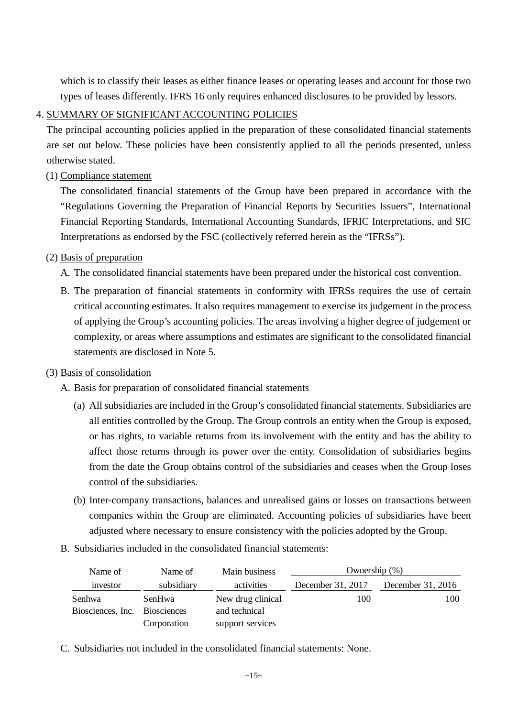which is to classify their leases as either finance leases or operating leases and account for those two types of leases differently. IFRS 16 only requires enhanced disclosures to be provided by lessors.

## 4. SUMMARY OF SIGNIFICANT ACCOUNTING POLICIES

The principal accounting policies applied in the preparation of these consolidated financial statements are set out below. These policies have been consistently applied to all the periods presented, unless otherwise stated.

(1) Compliance statement

The consolidated financial statements of the Group have been prepared in accordance with the "Regulations Governing the Preparation of Financial Reports by Securities Issuers", International Financial Reporting Standards, International Accounting Standards, IFRIC Interpretations, and SIC Interpretations as endorsed by the FSC (collectively referred herein as the "IFRSs").

## (2) Basis of preparation

- A. The consolidated financial statements have been prepared under the historical cost convention.
- B. The preparation of financial statements in conformity with IFRSs requires the use of certain critical accounting estimates. It also requires management to exercise its judgement in the process of applying the Group's accounting policies. The areas involving a higher degree of judgement or complexity, or areas where assumptions and estimates are significant to the consolidated financial statements are disclosed in Note 5.

### (3) Basis of consolidation

- A. Basis for preparation of consolidated financial statements
	- (a) All subsidiaries are included in the Group's consolidated financial statements. Subsidiaries are all entities controlled by the Group. The Group controls an entity when the Group is exposed, or has rights, to variable returns from its involvement with the entity and has the ability to affect those returns through its power over the entity. Consolidation of subsidiaries begins from the date the Group obtains control of the subsidiaries and ceases when the Group loses control of the subsidiaries.
	- (b) Inter-company transactions, balances and unrealised gains or losses on transactions between companies within the Group are eliminated. Accounting policies of subsidiaries have been adjusted where necessary to ensure consistency with the policies adopted by the Group.
- B. Subsidiaries included in the consolidated financial statements:

| Name of           | Name of            | Main business     | Ownership $(\%)$  |                   |
|-------------------|--------------------|-------------------|-------------------|-------------------|
| investor          | subsidiary         | activities        | December 31, 2017 | December 31, 2016 |
| Senhwa            | SenHwa             | New drug clinical | 100               | 100               |
| Biosciences, Inc. | <b>Biosciences</b> | and technical     |                   |                   |
|                   | Corporation        | support services  |                   |                   |

C. Subsidiaries not included in the consolidated financial statements: None.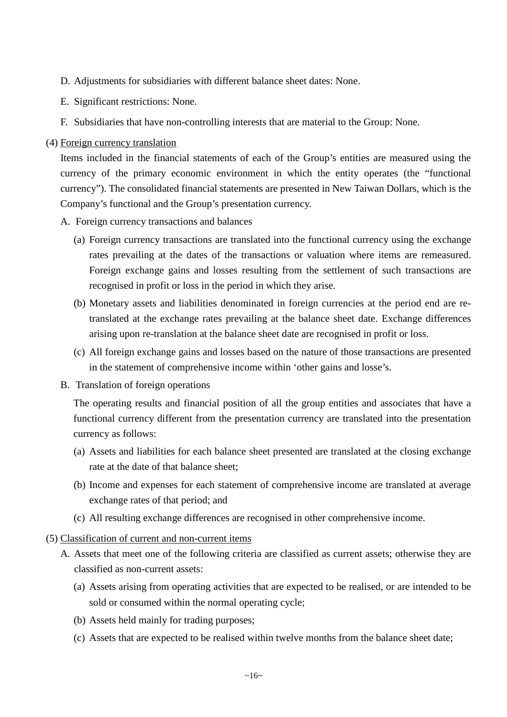- D. Adjustments for subsidiaries with different balance sheet dates: None.
- E. Significant restrictions: None.
- F. Subsidiaries that have non-controlling interests that are material to the Group: None.

#### (4) Foreign currency translation

Items included in the financial statements of each of the Group's entities are measured using the currency of the primary economic environment in which the entity operates (the "functional currency"). The consolidated financial statements are presented in New Taiwan Dollars, which is the Company's functional and the Group's presentation currency.

- A. Foreign currency transactions and balances
	- (a) Foreign currency transactions are translated into the functional currency using the exchange rates prevailing at the dates of the transactions or valuation where items are remeasured. Foreign exchange gains and losses resulting from the settlement of such transactions are recognised in profit or loss in the period in which they arise.
	- (b) Monetary assets and liabilities denominated in foreign currencies at the period end are retranslated at the exchange rates prevailing at the balance sheet date. Exchange differences arising upon re-translation at the balance sheet date are recognised in profit or loss.
	- (c) All foreign exchange gains and losses based on the nature of those transactions are presented in the statement of comprehensive income within 'other gains and losse's.
- B. Translation of foreign operations

The operating results and financial position of all the group entities and associates that have a functional currency different from the presentation currency are translated into the presentation currency as follows:

- (a) Assets and liabilities for each balance sheet presented are translated at the closing exchange rate at the date of that balance sheet;
- (b) Income and expenses for each statement of comprehensive income are translated at average exchange rates of that period; and
- (c) All resulting exchange differences are recognised in other comprehensive income.
- (5) Classification of current and non-current items
	- A. Assets that meet one of the following criteria are classified as current assets; otherwise they are classified as non-current assets:
		- (a) Assets arising from operating activities that are expected to be realised, or are intended to be sold or consumed within the normal operating cycle;
		- (b) Assets held mainly for trading purposes;
		- (c) Assets that are expected to be realised within twelve months from the balance sheet date;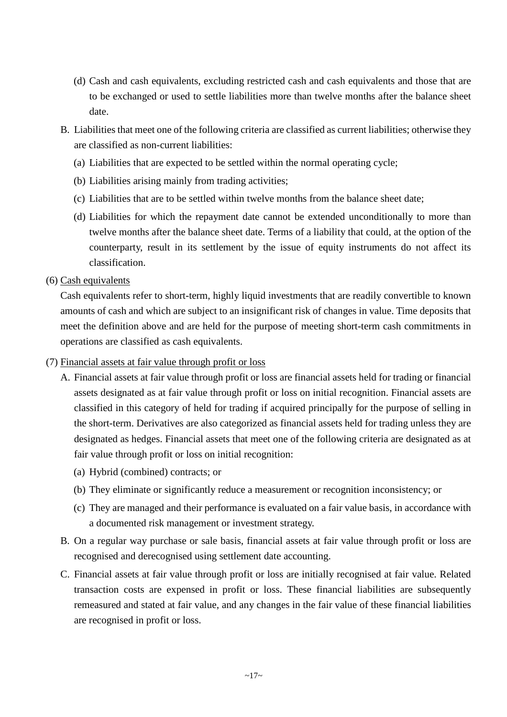- (d) Cash and cash equivalents, excluding restricted cash and cash equivalents and those that are to be exchanged or used to settle liabilities more than twelve months after the balance sheet date.
- B. Liabilities that meet one of the following criteria are classified as current liabilities; otherwise they are classified as non-current liabilities:
	- (a) Liabilities that are expected to be settled within the normal operating cycle;
	- (b) Liabilities arising mainly from trading activities;
	- (c) Liabilities that are to be settled within twelve months from the balance sheet date;
	- (d) Liabilities for which the repayment date cannot be extended unconditionally to more than twelve months after the balance sheet date. Terms of a liability that could, at the option of the counterparty, result in its settlement by the issue of equity instruments do not affect its classification.
- (6) Cash equivalents

Cash equivalents refer to short-term, highly liquid investments that are readily convertible to known amounts of cash and which are subject to an insignificant risk of changes in value. Time deposits that meet the definition above and are held for the purpose of meeting short-term cash commitments in operations are classified as cash equivalents.

- (7) Financial assets at fair value through profit or loss
	- A. Financial assets at fair value through profit or loss are financial assets held for trading or financial assets designated as at fair value through profit or loss on initial recognition. Financial assets are classified in this category of held for trading if acquired principally for the purpose of selling in the short-term. Derivatives are also categorized as financial assets held for trading unless they are designated as hedges. Financial assets that meet one of the following criteria are designated as at fair value through profit or loss on initial recognition:
		- (a) Hybrid (combined) contracts; or
		- (b) They eliminate or significantly reduce a measurement or recognition inconsistency; or
		- (c) They are managed and their performance is evaluated on a fair value basis, in accordance with a documented risk management or investment strategy.
	- B. On a regular way purchase or sale basis, financial assets at fair value through profit or loss are recognised and derecognised using settlement date accounting.
	- C. Financial assets at fair value through profit or loss are initially recognised at fair value. Related transaction costs are expensed in profit or loss. These financial liabilities are subsequently remeasured and stated at fair value, and any changes in the fair value of these financial liabilities are recognised in profit or loss.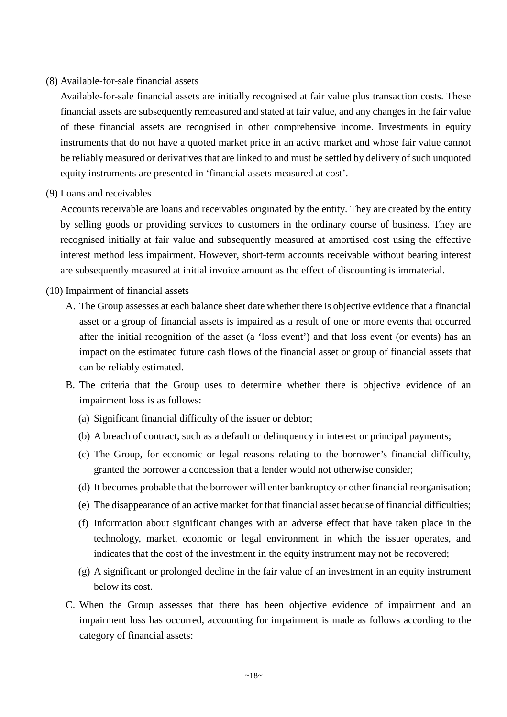#### (8) Available-for-sale financial assets

Available-for-sale financial assets are initially recognised at fair value plus transaction costs. These financial assets are subsequently remeasured and stated at fair value, and any changes in the fair value of these financial assets are recognised in other comprehensive income. Investments in equity instruments that do not have a quoted market price in an active market and whose fair value cannot be reliably measured or derivatives that are linked to and must be settled by delivery of such unquoted equity instruments are presented in 'financial assets measured at cost'.

#### (9) Loans and receivables

Accounts receivable are loans and receivables originated by the entity. They are created by the entity by selling goods or providing services to customers in the ordinary course of business. They are recognised initially at fair value and subsequently measured at amortised cost using the effective interest method less impairment. However, short-term accounts receivable without bearing interest are subsequently measured at initial invoice amount as the effect of discounting is immaterial.

#### (10) Impairment of financial assets

- A. The Group assesses at each balance sheet date whether there is objective evidence that a financial asset or a group of financial assets is impaired as a result of one or more events that occurred after the initial recognition of the asset (a 'loss event') and that loss event (or events) has an impact on the estimated future cash flows of the financial asset or group of financial assets that can be reliably estimated.
- B. The criteria that the Group uses to determine whether there is objective evidence of an impairment loss is as follows:
	- (a) Significant financial difficulty of the issuer or debtor;
	- (b) A breach of contract, such as a default or delinquency in interest or principal payments;
	- (c) The Group, for economic or legal reasons relating to the borrower's financial difficulty, granted the borrower a concession that a lender would not otherwise consider;
	- (d) It becomes probable that the borrower will enter bankruptcy or other financial reorganisation;
	- (e) The disappearance of an active market for that financial asset because of financial difficulties;
	- (f) Information about significant changes with an adverse effect that have taken place in the technology, market, economic or legal environment in which the issuer operates, and indicates that the cost of the investment in the equity instrument may not be recovered;
	- (g) A significant or prolonged decline in the fair value of an investment in an equity instrument below its cost.
- C. When the Group assesses that there has been objective evidence of impairment and an impairment loss has occurred, accounting for impairment is made as follows according to the category of financial assets: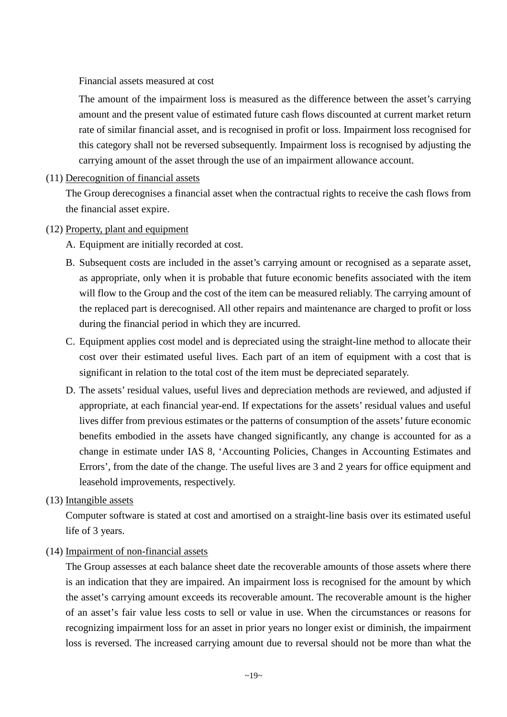Financial assets measured at cost

The amount of the impairment loss is measured as the difference between the asset's carrying amount and the present value of estimated future cash flows discounted at current market return rate of similar financial asset, and is recognised in profit or loss. Impairment loss recognised for this category shall not be reversed subsequently. Impairment loss is recognised by adjusting the carrying amount of the asset through the use of an impairment allowance account.

#### (11) Derecognition of financial assets

The Group derecognises a financial asset when the contractual rights to receive the cash flows from the financial asset expire.

#### (12) Property, plant and equipment

- A. Equipment are initially recorded at cost.
- B. Subsequent costs are included in the asset's carrying amount or recognised as a separate asset, as appropriate, only when it is probable that future economic benefits associated with the item will flow to the Group and the cost of the item can be measured reliably. The carrying amount of the replaced part is derecognised. All other repairs and maintenance are charged to profit or loss during the financial period in which they are incurred.
- C. Equipment applies cost model and is depreciated using the straight-line method to allocate their cost over their estimated useful lives. Each part of an item of equipment with a cost that is significant in relation to the total cost of the item must be depreciated separately.
- D. The assets' residual values, useful lives and depreciation methods are reviewed, and adjusted if appropriate, at each financial year-end. If expectations for the assets' residual values and useful lives differ from previous estimates or the patterns of consumption of the assets' future economic benefits embodied in the assets have changed significantly, any change is accounted for as a change in estimate under IAS 8, 'Accounting Policies, Changes in Accounting Estimates and Errors', from the date of the change. The useful lives are 3 and 2 years for office equipment and leasehold improvements, respectively.
- (13) Intangible assets

Computer software is stated at cost and amortised on a straight-line basis over its estimated useful life of 3 years.

(14) Impairment of non-financial assets

The Group assesses at each balance sheet date the recoverable amounts of those assets where there is an indication that they are impaired. An impairment loss is recognised for the amount by which the asset's carrying amount exceeds its recoverable amount. The recoverable amount is the higher of an asset's fair value less costs to sell or value in use. When the circumstances or reasons for recognizing impairment loss for an asset in prior years no longer exist or diminish, the impairment loss is reversed. The increased carrying amount due to reversal should not be more than what the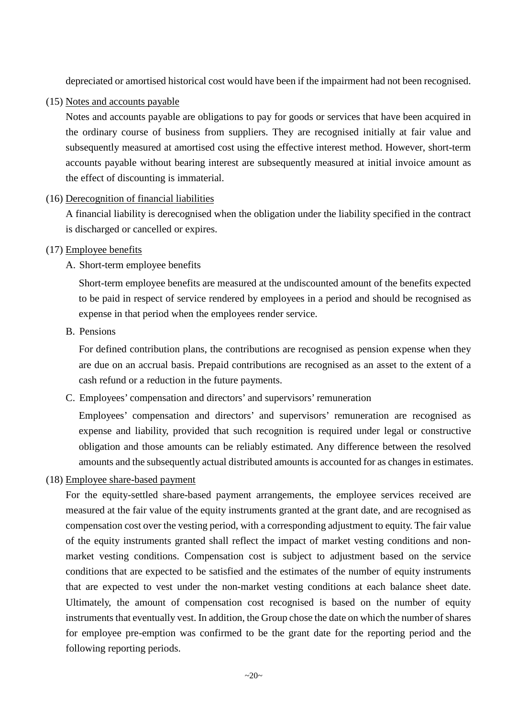depreciated or amortised historical cost would have been if the impairment had not been recognised.

### (15) Notes and accounts payable

Notes and accounts payable are obligations to pay for goods or services that have been acquired in the ordinary course of business from suppliers. They are recognised initially at fair value and subsequently measured at amortised cost using the effective interest method. However, short-term accounts payable without bearing interest are subsequently measured at initial invoice amount as the effect of discounting is immaterial.

#### (16) Derecognition of financial liabilities

A financial liability is derecognised when the obligation under the liability specified in the contract is discharged or cancelled or expires.

### (17) Employee benefits

### A. Short-term employee benefits

Short-term employee benefits are measured at the undiscounted amount of the benefits expected to be paid in respect of service rendered by employees in a period and should be recognised as expense in that period when the employees render service.

B. Pensions

For defined contribution plans, the contributions are recognised as pension expense when they are due on an accrual basis. Prepaid contributions are recognised as an asset to the extent of a cash refund or a reduction in the future payments.

C. Employees' compensation and directors' and supervisors' remuneration

Employees' compensation and directors' and supervisors' remuneration are recognised as expense and liability, provided that such recognition is required under legal or constructive obligation and those amounts can be reliably estimated. Any difference between the resolved amounts and the subsequently actual distributed amounts is accounted for as changes in estimates.

### (18) Employee share-based payment

For the equity-settled share-based payment arrangements, the employee services received are measured at the fair value of the equity instruments granted at the grant date, and are recognised as compensation cost over the vesting period, with a corresponding adjustment to equity. The fair value of the equity instruments granted shall reflect the impact of market vesting conditions and nonmarket vesting conditions. Compensation cost is subject to adjustment based on the service conditions that are expected to be satisfied and the estimates of the number of equity instruments that are expected to vest under the non-market vesting conditions at each balance sheet date. Ultimately, the amount of compensation cost recognised is based on the number of equity instruments that eventually vest. In addition, the Group chose the date on which the number of shares for employee pre-emption was confirmed to be the grant date for the reporting period and the following reporting periods.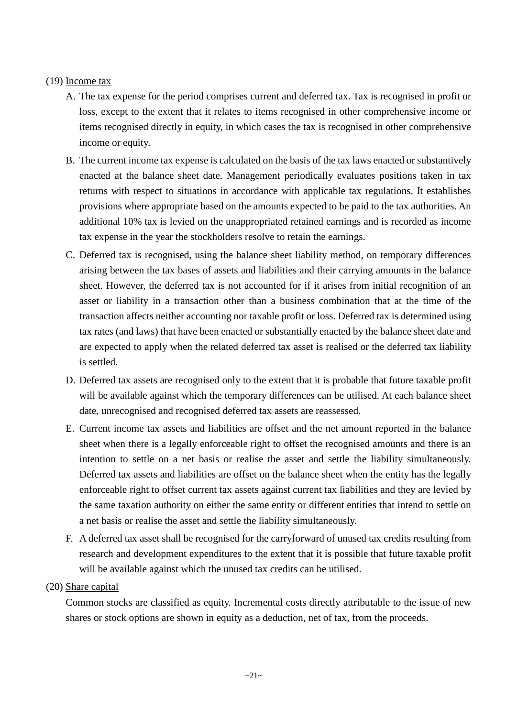#### (19) Income tax

- A. The tax expense for the period comprises current and deferred tax. Tax is recognised in profit or loss, except to the extent that it relates to items recognised in other comprehensive income or items recognised directly in equity, in which cases the tax is recognised in other comprehensive income or equity.
- B. The current income tax expense is calculated on the basis of the tax laws enacted or substantively enacted at the balance sheet date. Management periodically evaluates positions taken in tax returns with respect to situations in accordance with applicable tax regulations. It establishes provisions where appropriate based on the amounts expected to be paid to the tax authorities. An additional 10% tax is levied on the unappropriated retained earnings and is recorded as income tax expense in the year the stockholders resolve to retain the earnings.
- C. Deferred tax is recognised, using the balance sheet liability method, on temporary differences arising between the tax bases of assets and liabilities and their carrying amounts in the balance sheet. However, the deferred tax is not accounted for if it arises from initial recognition of an asset or liability in a transaction other than a business combination that at the time of the transaction affects neither accounting nor taxable profit or loss. Deferred tax is determined using tax rates (and laws) that have been enacted or substantially enacted by the balance sheet date and are expected to apply when the related deferred tax asset is realised or the deferred tax liability is settled.
- D. Deferred tax assets are recognised only to the extent that it is probable that future taxable profit will be available against which the temporary differences can be utilised. At each balance sheet date, unrecognised and recognised deferred tax assets are reassessed.
- E. Current income tax assets and liabilities are offset and the net amount reported in the balance sheet when there is a legally enforceable right to offset the recognised amounts and there is an intention to settle on a net basis or realise the asset and settle the liability simultaneously. Deferred tax assets and liabilities are offset on the balance sheet when the entity has the legally enforceable right to offset current tax assets against current tax liabilities and they are levied by the same taxation authority on either the same entity or different entities that intend to settle on a net basis or realise the asset and settle the liability simultaneously.
- F. A deferred tax asset shall be recognised for the carryforward of unused tax credits resulting from research and development expenditures to the extent that it is possible that future taxable profit will be available against which the unused tax credits can be utilised.

### (20) Share capital

Common stocks are classified as equity. Incremental costs directly attributable to the issue of new shares or stock options are shown in equity as a deduction, net of tax, from the proceeds.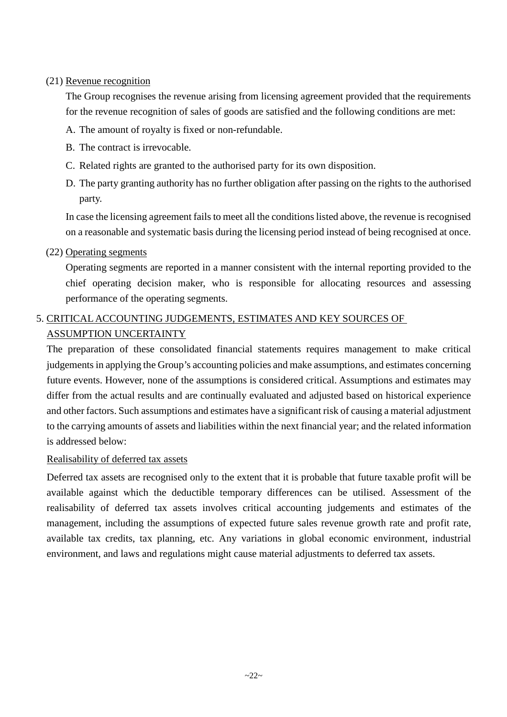#### (21) Revenue recognition

The Group recognises the revenue arising from licensing agreement provided that the requirements for the revenue recognition of sales of goods are satisfied and the following conditions are met:

- A. The amount of royalty is fixed or non-refundable.
- B. The contract is irrevocable.
- C. Related rights are granted to the authorised party for its own disposition.
- D. The party granting authority has no further obligation after passing on the rights to the authorised party.

In case the licensing agreement fails to meet all the conditions listed above, the revenue is recognised on a reasonable and systematic basis during the licensing period instead of being recognised at once.

### (22) Operating segments

Operating segments are reported in a manner consistent with the internal reporting provided to the chief operating decision maker, who is responsible for allocating resources and assessing performance of the operating segments.

## 5. CRITICAL ACCOUNTING JUDGEMENTS, ESTIMATES AND KEY SOURCES OF ASSUMPTION UNCERTAINTY

The preparation of these consolidated financial statements requires management to make critical judgements in applying the Group's accounting policies and make assumptions, and estimates concerning future events. However, none of the assumptions is considered critical. Assumptions and estimates may differ from the actual results and are continually evaluated and adjusted based on historical experience and other factors. Such assumptions and estimates have a significant risk of causing a material adjustment to the carrying amounts of assets and liabilities within the next financial year; and the related information is addressed below:

### Realisability of deferred tax assets

Deferred tax assets are recognised only to the extent that it is probable that future taxable profit will be available against which the deductible temporary differences can be utilised. Assessment of the realisability of deferred tax assets involves critical accounting judgements and estimates of the management, including the assumptions of expected future sales revenue growth rate and profit rate, available tax credits, tax planning, etc. Any variations in global economic environment, industrial environment, and laws and regulations might cause material adjustments to deferred tax assets.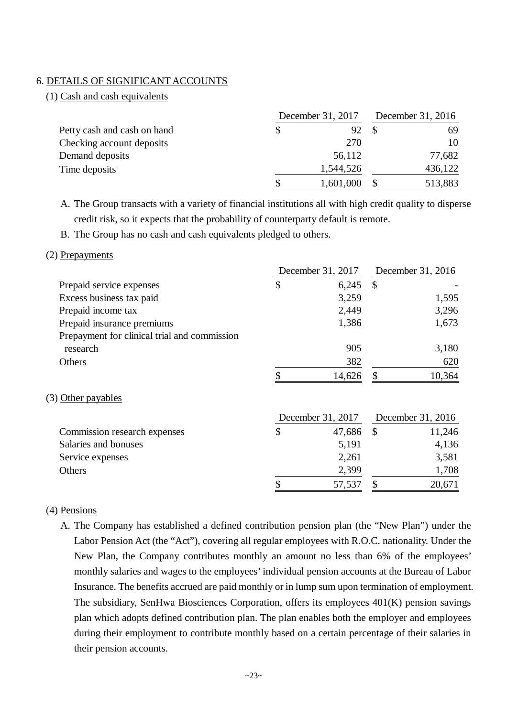#### 6. DETAILS OF SIGNIFICANT ACCOUNTS

#### (1) Cash and cash equivalents

|                             | December 31, 2017 | December 31, 2016 |         |  |
|-----------------------------|-------------------|-------------------|---------|--|
| Petty cash and cash on hand | 92                |                   | 69      |  |
| Checking account deposits   | 270               |                   | 10      |  |
| Demand deposits             | 56,112            |                   | 77,682  |  |
| Time deposits               | 1,544,526         |                   | 436,122 |  |
|                             | 1,601,000         |                   | 513,883 |  |

A. The Group transacts with a variety of financial institutions all with high credit quality to disperse credit risk, so it expects that the probability of counterparty default is remote.

B. The Group has no cash and cash equivalents pledged to others.

#### (2) Prepayments

|                                              | December 31, 2017 |        | December 31, 2016 |        |
|----------------------------------------------|-------------------|--------|-------------------|--------|
| Prepaid service expenses                     | \$                | 6,245  | <sup>\$</sup>     |        |
| Excess business tax paid                     |                   | 3,259  |                   | 1,595  |
| Prepaid income tax                           |                   | 2,449  |                   | 3,296  |
| Prepaid insurance premiums                   |                   | 1,386  |                   | 1,673  |
| Prepayment for clinical trial and commission |                   |        |                   |        |
| research                                     |                   | 905    |                   | 3,180  |
| Others                                       |                   | 382    |                   | 620    |
|                                              |                   | 14,626 |                   | 10,364 |
| (3) Other payables                           |                   |        |                   |        |

| . . |  |  |
|-----|--|--|
|     |  |  |
|     |  |  |
|     |  |  |
|     |  |  |
|     |  |  |
|     |  |  |

| Commission research expenses | 47,686 | 11,246 |
|------------------------------|--------|--------|
| Salaries and bonuses         | 5,191  | 4,136  |
| Service expenses             | 2,261  | 3,581  |
| Others                       | 2,399  | 1,708  |
|                              | 57,537 | 20,671 |

December 31, 2017 December 31, 2016

#### (4) Pensions

A. The Company has established a defined contribution pension plan (the "New Plan") under the Labor Pension Act (the "Act"), covering all regular employees with R.O.C. nationality. Under the New Plan, the Company contributes monthly an amount no less than 6% of the employees' monthly salaries and wages to the employees' individual pension accounts at the Bureau of Labor Insurance. The benefits accrued are paid monthly or in lump sum upon termination of employment. The subsidiary, SenHwa Biosciences Corporation, offers its employees 401(K) pension savings plan which adopts defined contribution plan. The plan enables both the employer and employees during their employment to contribute monthly based on a certain percentage of their salaries in their pension accounts.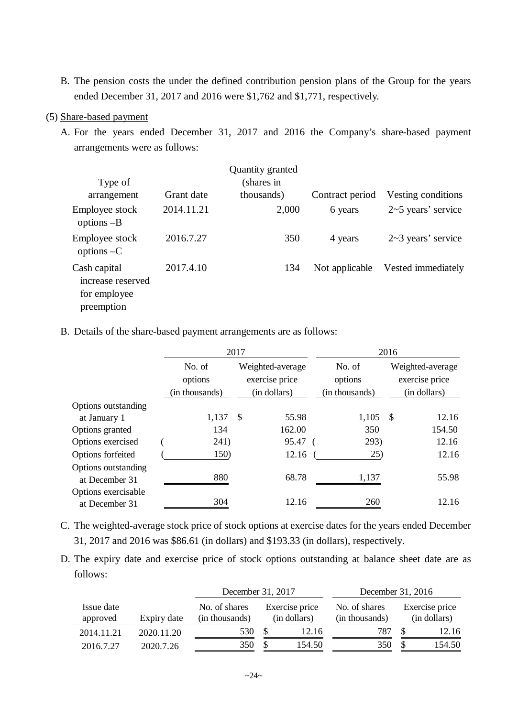B. The pension costs the under the defined contribution pension plans of the Group for the years ended December 31, 2017 and 2016 were \$1,762 and \$1,771, respectively.

#### (5) Share-based payment

A. For the years ended December 31, 2017 and 2016 the Company's share-based payment arrangements were as follows:

| Type of                                                         |            | Quantity granted<br>(shares in |                 |                           |
|-----------------------------------------------------------------|------------|--------------------------------|-----------------|---------------------------|
| arrangement                                                     | Grant date | thousands)                     | Contract period | Vesting conditions        |
| Employee stock<br>options $-B$                                  | 2014.11.21 | 2,000                          | 6 years         | $2 \sim 5$ years' service |
| Employee stock<br>options $-C$                                  | 2016.7.27  | 350                            | 4 years         | $2~3$ years' service      |
| Cash capital<br>increase reserved<br>for employee<br>preemption | 2017.4.10  | 134                            | Not applicable  | Vested immediately        |

B. Details of the share-based payment arrangements are as follows:

|                                       | 2017           |              |                  | 2016    |               |                  |  |              |
|---------------------------------------|----------------|--------------|------------------|---------|---------------|------------------|--|--------------|
|                                       | No. of         |              | Weighted-average | No. of  |               | Weighted-average |  |              |
|                                       | options        |              | exercise price   | options |               | exercise price   |  |              |
|                                       | (in thousands) | (in dollars) |                  |         |               | (in thousands)   |  | (in dollars) |
| Options outstanding                   |                |              |                  |         |               |                  |  |              |
| at January 1                          | 1,137          | $\mathbb{S}$ | 55.98            | 1,105   | <sup>\$</sup> | 12.16            |  |              |
| Options granted                       | 134            |              | 162.00           | 350     |               | 154.50           |  |              |
| Options exercised                     | 241)           |              | 95.47            | 293)    |               | 12.16            |  |              |
| Options forfeited                     | 150)           |              | 12.16            | 25)     |               | 12.16            |  |              |
| Options outstanding<br>at December 31 | 880            |              | 68.78            | 1,137   |               | 55.98            |  |              |
| Options exercisable<br>at December 31 | 304            |              | 12.16            | 260     |               | 12.16            |  |              |

- C. The weighted-average stock price of stock options at exercise dates for the years ended December 31, 2017 and 2016 was \$86.61 (in dollars) and \$193.33 (in dollars), respectively.
- D. The expiry date and exercise price of stock options outstanding at balance sheet date are as follows:

|                        |             | December 31, 2017               |                                |        | December 31, 2016 |  |        |  |  |  |                                 |  |                                |
|------------------------|-------------|---------------------------------|--------------------------------|--------|-------------------|--|--------|--|--|--|---------------------------------|--|--------------------------------|
| Issue date<br>approved | Expiry date | No. of shares<br>(in thousands) | Exercise price<br>(in dollars) |        |                   |  |        |  |  |  | No. of shares<br>(in thousands) |  | Exercise price<br>(in dollars) |
| 2014.11.21             | 2020.11.20  | 530                             |                                | 12.16  | 787               |  | 12.16  |  |  |  |                                 |  |                                |
| 2016.7.27              | 2020.7.26   | 350                             |                                | 154.50 | 350               |  | 154.50 |  |  |  |                                 |  |                                |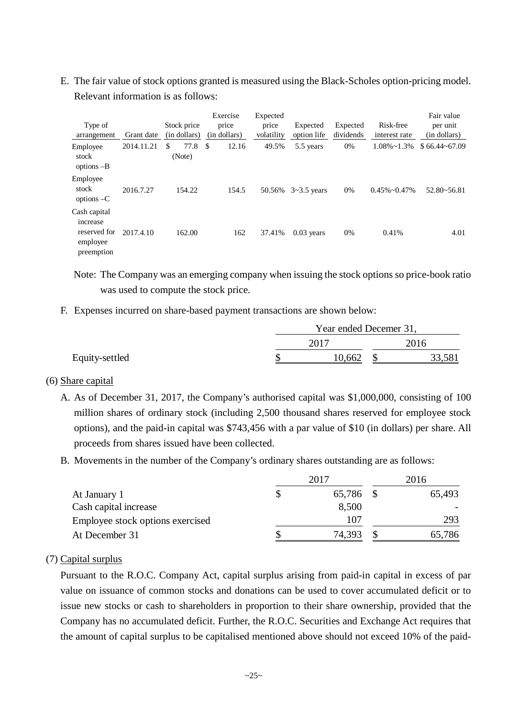E. The fair value of stock options granted is measured using the Black-Scholes option-pricing model. Relevant information is as follows:

| Type of<br>arrangement                                             | Grant date | Stock price<br>(in dollars) | Exercise<br>price<br>(in dollars) | Expected<br>price<br>volatility | Expected<br>option life | Expected<br>dividends | Risk-free<br>interest rate | Fair value<br>per unit<br>(in dollars) |
|--------------------------------------------------------------------|------------|-----------------------------|-----------------------------------|---------------------------------|-------------------------|-----------------------|----------------------------|----------------------------------------|
| Employee<br>stock<br>options $-B$                                  | 2014.11.21 | 77.8<br>\$<br>(Note)        | \$<br>12.16                       | 49.5%                           | 5.5 years               | 0%                    | $1.08\% \sim 1.3\%$        | \$66.44~67.09                          |
| Employee<br>stock<br>options $-C$                                  | 2016.7.27  | 154.22                      | 154.5                             | 50.56%                          | $3-3.5$ years           | 0%                    | $0.45\% \sim 0.47\%$       | $52.80 - 56.81$                        |
| Cash capital<br>increase<br>reserved for<br>employee<br>preemption | 2017.4.10  | 162.00                      | 162                               | 37.41%                          | $0.03$ years            | 0%                    | 0.41%                      | 4.01                                   |

- Note: The Company was an emerging company when issuing the stock options so price-book ratio was used to compute the stock price.
- F. Expenses incurred on share-based payment transactions are shown below:

|                | Year ended Decemer 31, |        |  |        |  |
|----------------|------------------------|--------|--|--------|--|
|                |                        | 2017   |  | 2016   |  |
| Equity-settled |                        | 10,662 |  | 33,581 |  |

- (6) Share capital
	- A. As of December 31, 2017, the Company's authorised capital was \$1,000,000, consisting of 100 million shares of ordinary stock (including 2,500 thousand shares reserved for employee stock options), and the paid-in capital was \$743,456 with a par value of \$10 (in dollars) per share. All proceeds from shares issued have been collected.
	- B. Movements in the number of the Company's ordinary shares outstanding are as follows:

|                                  | 2017 |           | 2016                     |
|----------------------------------|------|-----------|--------------------------|
| At January 1                     | \$   | 65,786 \$ | 65,493                   |
| Cash capital increase            |      | 8,500     | $\overline{\phantom{a}}$ |
| Employee stock options exercised |      | 107       | 293                      |
| At December 31                   | S    | 74,393    | 65,786                   |

(7) Capital surplus

Pursuant to the R.O.C. Company Act, capital surplus arising from paid-in capital in excess of par value on issuance of common stocks and donations can be used to cover accumulated deficit or to issue new stocks or cash to shareholders in proportion to their share ownership, provided that the Company has no accumulated deficit. Further, the R.O.C. Securities and Exchange Act requires that the amount of capital surplus to be capitalised mentioned above should not exceed 10% of the paid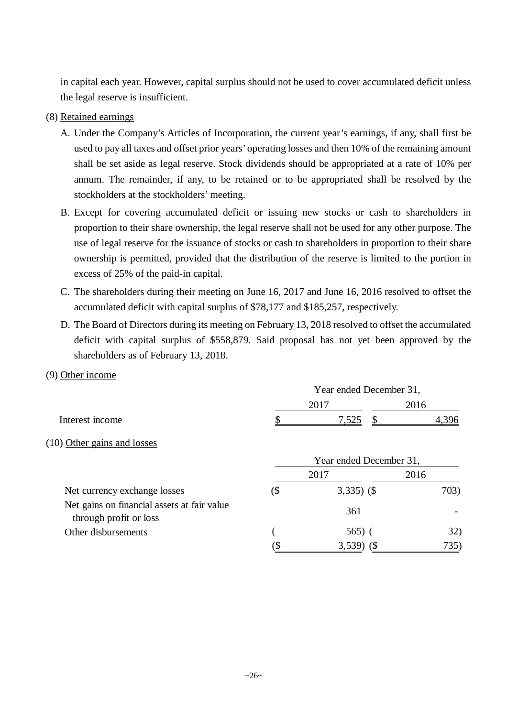in capital each year. However, capital surplus should not be used to cover accumulated deficit unless the legal reserve is insufficient.

## (8) Retained earnings

- A. Under the Company's Articles of Incorporation, the current year's earnings, if any, shall first be used to pay all taxes and offset prior years' operating losses and then 10% of the remaining amount shall be set aside as legal reserve. Stock dividends should be appropriated at a rate of 10% per annum. The remainder, if any, to be retained or to be appropriated shall be resolved by the stockholders at the stockholders' meeting.
- B. Except for covering accumulated deficit or issuing new stocks or cash to shareholders in proportion to their share ownership, the legal reserve shall not be used for any other purpose. The use of legal reserve for the issuance of stocks or cash to shareholders in proportion to their share ownership is permitted, provided that the distribution of the reserve is limited to the portion in excess of 25% of the paid-in capital.
- C. The shareholders during their meeting on June 16, 2017 and June 16, 2016 resolved to offset the accumulated deficit with capital surplus of \$78,177 and \$185,257, respectively.
- D. The Board of Directors during its meeting on February 13, 2018 resolved to offset the accumulated deficit with capital surplus of \$558,879. Said proposal has not yet been approved by the shareholders as of February 13, 2018.

#### (9) Other income

|                             | Year ended December 31, |       |      |  |  |
|-----------------------------|-------------------------|-------|------|--|--|
|                             |                         | 2017  | 2016 |  |  |
| Interest income             |                         | 7.525 |      |  |  |
| (10) Other gains and losses |                         |       |      |  |  |

|                                                                       | Year ended December 31, |               |                          |  |  |  |
|-----------------------------------------------------------------------|-------------------------|---------------|--------------------------|--|--|--|
|                                                                       |                         | 2017          | 2016                     |  |  |  |
| Net currency exchange losses                                          | (\$                     | $3,335)$ (\$) | 703)                     |  |  |  |
| Net gains on financial assets at fair value<br>through profit or loss |                         | 361           | $\overline{\phantom{a}}$ |  |  |  |
| Other disbursements                                                   |                         | 565)          | 32)                      |  |  |  |
|                                                                       |                         |               | 735                      |  |  |  |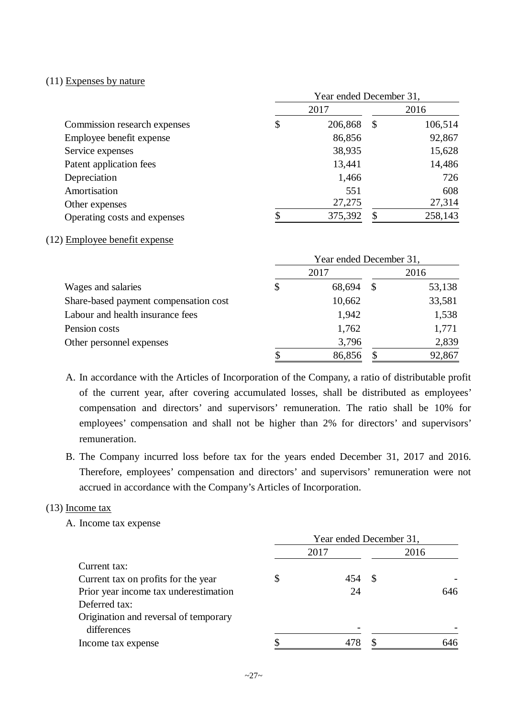#### (11) Expenses by nature

|                              | Year ended December 31, |         |    |         |  |  |
|------------------------------|-------------------------|---------|----|---------|--|--|
|                              |                         | 2017    |    | 2016    |  |  |
| Commission research expenses | \$                      | 206,868 | -S | 106,514 |  |  |
| Employee benefit expense     |                         | 86,856  |    | 92,867  |  |  |
| Service expenses             |                         | 38,935  |    | 15,628  |  |  |
| Patent application fees      |                         | 13,441  |    | 14,486  |  |  |
| Depreciation                 |                         | 1,466   |    | 726     |  |  |
| Amortisation                 |                         | 551     |    | 608     |  |  |
| Other expenses               |                         | 27,275  |    | 27,314  |  |  |
| Operating costs and expenses |                         | 375,392 | S  | 258,143 |  |  |

#### (12) Employee benefit expense

|                                       | Year ended December 31, |        |               |        |  |  |
|---------------------------------------|-------------------------|--------|---------------|--------|--|--|
|                                       |                         | 2017   |               | 2016   |  |  |
| Wages and salaries                    | \$                      | 68,694 | $\mathcal{S}$ | 53,138 |  |  |
| Share-based payment compensation cost |                         | 10,662 |               | 33,581 |  |  |
| Labour and health insurance fees      |                         | 1,942  |               | 1,538  |  |  |
| Pension costs                         |                         | 1,762  |               | 1,771  |  |  |
| Other personnel expenses              |                         | 3,796  |               | 2,839  |  |  |
|                                       | \$                      | 86,856 |               | 92,867 |  |  |

A. In accordance with the Articles of Incorporation of the Company, a ratio of distributable profit of the current year, after covering accumulated losses, shall be distributed as employees' compensation and directors' and supervisors' remuneration. The ratio shall be 10% for employees' compensation and shall not be higher than 2% for directors' and supervisors' remuneration.

B. The Company incurred loss before tax for the years ended December 31, 2017 and 2016. Therefore, employees' compensation and directors' and supervisors' remuneration were not accrued in accordance with the Company's Articles of Incorporation.

### (13) Income tax

A. Income tax expense

| 2017 |     | 2016                    |
|------|-----|-------------------------|
|      |     |                         |
|      | 454 |                         |
|      | 24  | 646                     |
|      |     |                         |
|      |     |                         |
|      |     |                         |
|      | 478 | 646                     |
|      |     | Year ended December 31, |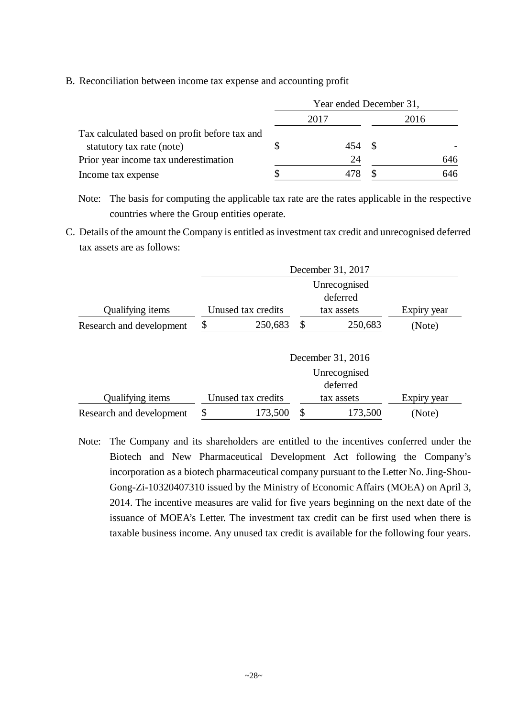B. Reconciliation between income tax expense and accounting profit

|                                                                            | Year ended December 31, |      |  |      |  |  |  |
|----------------------------------------------------------------------------|-------------------------|------|--|------|--|--|--|
|                                                                            |                         | 2017 |  | 2016 |  |  |  |
| Tax calculated based on profit before tax and<br>statutory tax rate (note) |                         | 454  |  |      |  |  |  |
| Prior year income tax underestimation                                      |                         | 24   |  | 646  |  |  |  |
| Income tax expense                                                         |                         | 478  |  | 646  |  |  |  |

Note: The basis for computing the applicable tax rate are the rates applicable in the respective countries where the Group entities operate.

C. Details of the amount the Company is entitled as investment tax credit and unrecognised deferred tax assets are as follows:

|                          | December 31, 2017 |                    |    |                          |             |  |  |
|--------------------------|-------------------|--------------------|----|--------------------------|-------------|--|--|
|                          |                   |                    |    | Unrecognised<br>deferred |             |  |  |
| Qualifying items         |                   | Unused tax credits |    | tax assets               | Expiry year |  |  |
| Research and development | \$                | 250,683            | \$ | 250,683                  | (Note)      |  |  |
|                          | December 31, 2016 |                    |    |                          |             |  |  |
|                          |                   |                    |    | Unrecognised             |             |  |  |
|                          |                   |                    |    | deferred                 |             |  |  |
| Qualifying items         |                   | Unused tax credits |    | tax assets               | Expiry year |  |  |
| Research and development | \$                | 173,500            | \$ | 173,500                  | (Note)      |  |  |

Note: The Company and its shareholders are entitled to the incentives conferred under the Biotech and New Pharmaceutical Development Act following the Company's incorporation as a biotech pharmaceutical company pursuant to the Letter No. Jing-Shou-Gong-Zi-10320407310 issued by the Ministry of Economic Affairs (MOEA) on April 3, 2014. The incentive measures are valid for five years beginning on the next date of the issuance of MOEA's Letter. The investment tax credit can be first used when there is taxable business income. Any unused tax credit is available for the following four years.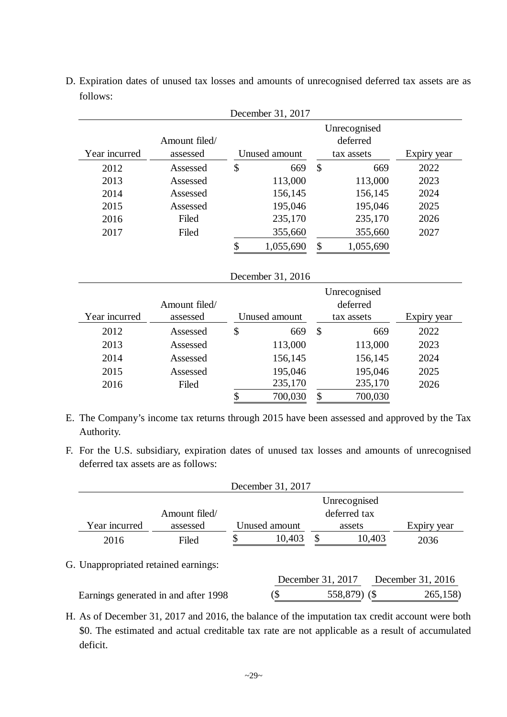|               |               | December 31, 2017 |               |              |             |
|---------------|---------------|-------------------|---------------|--------------|-------------|
|               |               |                   |               | Unrecognised |             |
|               | Amount filed/ |                   |               | deferred     |             |
| Year incurred | assessed      | Unused amount     |               | tax assets   | Expiry year |
| 2012          | Assessed      | \$<br>669         | $\mathcal{S}$ | 669          | 2022        |
| 2013          | Assessed      | 113,000           |               | 113,000      | 2023        |
| 2014          | Assessed      | 156,145           |               | 156,145      | 2024        |
| 2015          | Assessed      | 195,046           |               | 195,046      | 2025        |
| 2016          | Filed         | 235,170           |               | 235,170      | 2026        |
| 2017          | Filed         | 355,660           |               | 355,660      | 2027        |
|               |               | \$<br>1,055,690   | \$            | 1,055,690    |             |
|               |               |                   |               |              |             |
|               |               | December 31, 2016 |               |              |             |
|               |               |                   |               | Unrecognised |             |
|               | Amount filed/ |                   |               | deferred     |             |
| Year incurred | assessed      | Unused amount     |               | tax assets   | Expiry year |
| 2012          | Assessed      | \$<br>669         | $\mathcal{S}$ | 669          | 2022        |
| 2013          | Assessed      | 113,000           |               | 113,000      | 2023        |
| 2014          | Assessed      | 156,145           |               | 156,145      | 2024        |
| 2015          | Assessed      | 195,046           |               | 195,046      | 2025        |
| 2016          | Filed         | 235,170           |               | 235,170      | 2026        |
|               |               | \$<br>700,030     | \$            | 700,030      |             |

D. Expiration dates of unused tax losses and amounts of unrecognised deferred tax assets are as follows:

- E. The Company's income tax returns through 2015 have been assessed and approved by the Tax Authority.
- F. For the U.S. subsidiary, expiration dates of unused tax losses and amounts of unrecognised deferred tax assets are as follows:

|                                      |                                      | December 31, 2017 |              |                   |
|--------------------------------------|--------------------------------------|-------------------|--------------|-------------------|
|                                      |                                      |                   | Unrecognised |                   |
|                                      | Amount filed/                        |                   | deferred tax |                   |
| Year incurred                        | assessed                             | Unused amount     | assets       | Expiry year       |
| 2016                                 | Filed                                | 10,403            | 10,403       | 2036              |
| G. Unappropriated retained earnings: |                                      |                   |              |                   |
|                                      |                                      | December 31, 2017 |              | December 31, 2016 |
|                                      | Earnings generated in and after 1998 |                   | 558,879)     | 265,158)          |

H. As of December 31, 2017 and 2016, the balance of the imputation tax credit account were both \$0. The estimated and actual creditable tax rate are not applicable as a result of accumulated deficit.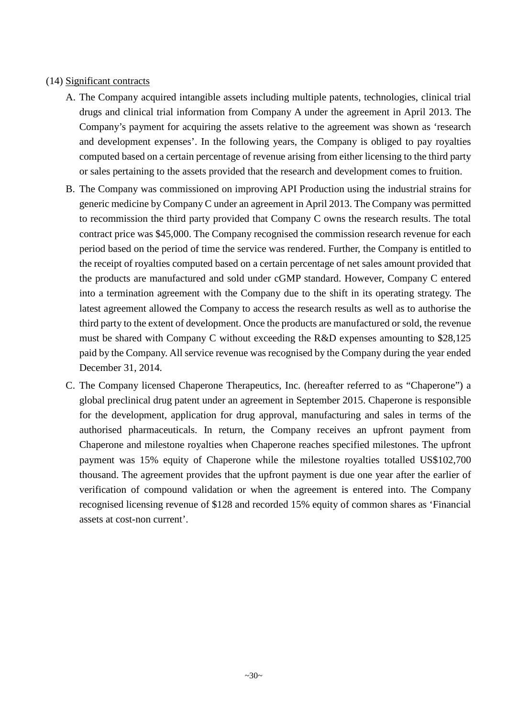### (14) Significant contracts

- A. The Company acquired intangible assets including multiple patents, technologies, clinical trial drugs and clinical trial information from Company A under the agreement in April 2013. The Company's payment for acquiring the assets relative to the agreement was shown as 'research and development expenses'. In the following years, the Company is obliged to pay royalties computed based on a certain percentage of revenue arising from either licensing to the third party or sales pertaining to the assets provided that the research and development comes to fruition.
- B. The Company was commissioned on improving API Production using the industrial strains for generic medicine by Company C under an agreement in April 2013. The Company was permitted to recommission the third party provided that Company C owns the research results. The total contract price was \$45,000. The Company recognised the commission research revenue for each period based on the period of time the service was rendered. Further, the Company is entitled to the receipt of royalties computed based on a certain percentage of net sales amount provided that the products are manufactured and sold under cGMP standard. However, Company C entered into a termination agreement with the Company due to the shift in its operating strategy. The latest agreement allowed the Company to access the research results as well as to authorise the third party to the extent of development. Once the products are manufactured or sold, the revenue must be shared with Company C without exceeding the R&D expenses amounting to \$28,125 paid by the Company. All service revenue was recognised by the Company during the year ended December 31, 2014.
- C. The Company licensed Chaperone Therapeutics, Inc. (hereafter referred to as "Chaperone") a global preclinical drug patent under an agreement in September 2015. Chaperone is responsible for the development, application for drug approval, manufacturing and sales in terms of the authorised pharmaceuticals. In return, the Company receives an upfront payment from Chaperone and milestone royalties when Chaperone reaches specified milestones. The upfront payment was 15% equity of Chaperone while the milestone royalties totalled US\$102,700 thousand. The agreement provides that the upfront payment is due one year after the earlier of verification of compound validation or when the agreement is entered into. The Company recognised licensing revenue of \$128 and recorded 15% equity of common shares as 'Financial assets at cost-non current'.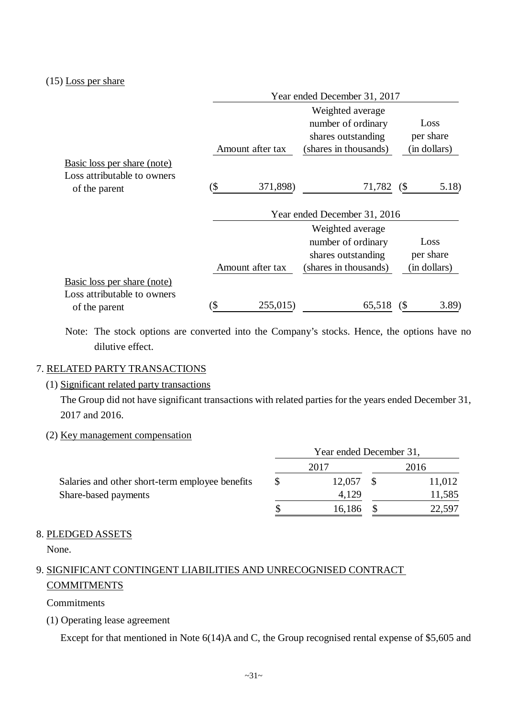(15) Loss per share

|                                                                             |     |                  | Year ended December 31, 2017                                                          |                                   |
|-----------------------------------------------------------------------------|-----|------------------|---------------------------------------------------------------------------------------|-----------------------------------|
|                                                                             |     | Amount after tax | Weighted average<br>number of ordinary<br>shares outstanding<br>(shares in thousands) | Loss<br>per share<br>(in dollars) |
| Basic loss per share (note)<br>Loss attributable to owners<br>of the parent | (\$ | 371,898)         | 71,782                                                                                | (<br>5.18)                        |
|                                                                             |     |                  | Year ended December 31, 2016                                                          |                                   |
|                                                                             |     | Amount after tax | Weighted average<br>number of ordinary<br>shares outstanding<br>(shares in thousands) | Loss<br>per share<br>(in dollars) |
| Basic loss per share (note)                                                 |     |                  |                                                                                       |                                   |
| Loss attributable to owners<br>of the parent                                | \$  | 255,015)         | 65,518                                                                                | 3.89<br>$($ \$                    |

Note: The stock options are converted into the Company's stocks. Hence, the options have no dilutive effect.

## 7. RELATED PARTY TRANSACTIONS

(1) Significant related party transactions

The Group did not have significant transactions with related parties for the years ended December 31, 2017 and 2016.

(2) Key management compensation

|                                                 | Year ended December 31, |        |  |        |  |
|-------------------------------------------------|-------------------------|--------|--|--------|--|
|                                                 |                         | 2017   |  | 2016   |  |
| Salaries and other short-term employee benefits |                         | 12,057 |  | 11,012 |  |
| Share-based payments                            |                         | 4,129  |  | 11,585 |  |
|                                                 |                         | 16,186 |  | 22,597 |  |

### 8. PLEDGED ASSETS

None.

## 9. SIGNIFICANT CONTINGENT LIABILITIES AND UNRECOGNISED CONTRACT **COMMITMENTS**

Commitments

(1) Operating lease agreement

Except for that mentioned in Note 6(14)A and C, the Group recognised rental expense of \$5,605 and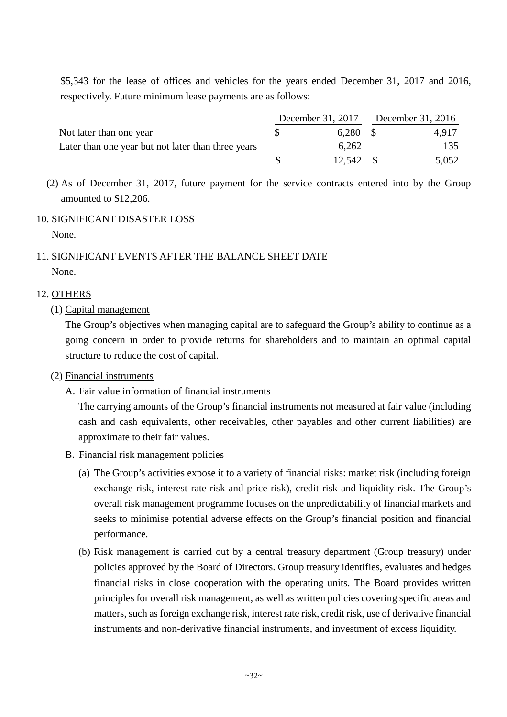\$5,343 for the lease of offices and vehicles for the years ended December 31, 2017 and 2016, respectively. Future minimum lease payments are as follows:

|                                                    |           | December 31, 2017 December 31, 2016 |       |
|----------------------------------------------------|-----------|-------------------------------------|-------|
| Not later than one year                            | 6.280 \$  |                                     | 4.917 |
| Later than one year but not later than three years | 6,262     |                                     | 135   |
|                                                    | 12,542 \$ |                                     | 5,052 |

(2) As of December 31, 2017, future payment for the service contracts entered into by the Group amounted to \$12,206.

## 10. SIGNIFICANT DISASTER LOSS None.

## 11. SIGNIFICANT EVENTS AFTER THE BALANCE SHEET DATE None.

### 12. OTHERS

(1) Capital management

The Group's objectives when managing capital are to safeguard the Group's ability to continue as a going concern in order to provide returns for shareholders and to maintain an optimal capital structure to reduce the cost of capital.

- (2) Financial instruments
	- A. Fair value information of financial instruments

The carrying amounts of the Group's financial instruments not measured at fair value (including cash and cash equivalents, other receivables, other payables and other current liabilities) are approximate to their fair values.

- B. Financial risk management policies
	- (a) The Group's activities expose it to a variety of financial risks: market risk (including foreign exchange risk, interest rate risk and price risk), credit risk and liquidity risk. The Group's overall risk management programme focuses on the unpredictability of financial markets and seeks to minimise potential adverse effects on the Group's financial position and financial performance.
	- (b) Risk management is carried out by a central treasury department (Group treasury) under policies approved by the Board of Directors. Group treasury identifies, evaluates and hedges financial risks in close cooperation with the operating units. The Board provides written principles for overall risk management, as well as written policies covering specific areas and matters, such as foreign exchange risk, interest rate risk, credit risk, use of derivative financial instruments and non-derivative financial instruments, and investment of excess liquidity.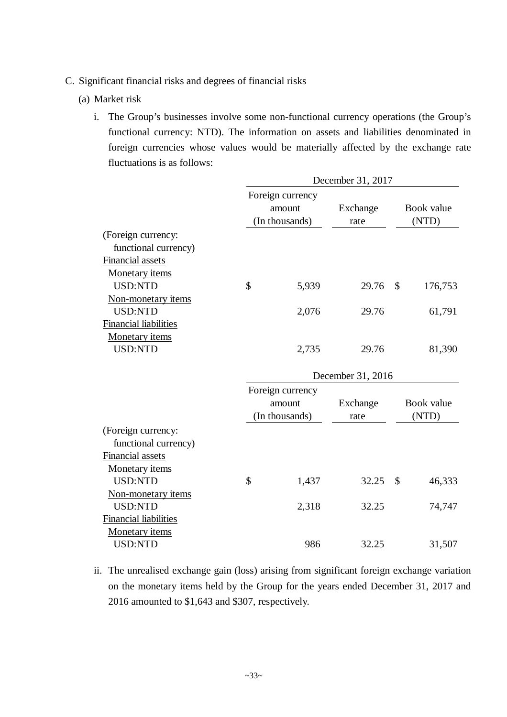- C. Significant financial risks and degrees of financial risks
	- (a) Market risk
		- i. The Group's businesses involve some non-functional currency operations (the Group's functional currency: NTD). The information on assets and liabilities denominated in foreign currencies whose values would be materially affected by the exchange rate fluctuations is as follows:

|                              | December 31, 2017 |                   |          |               |            |  |  |
|------------------------------|-------------------|-------------------|----------|---------------|------------|--|--|
|                              |                   | Foreign currency  |          |               |            |  |  |
|                              |                   | amount            | Exchange |               | Book value |  |  |
|                              |                   | (In thousands)    | rate     |               | (NTD)      |  |  |
| (Foreign currency:           |                   |                   |          |               |            |  |  |
| functional currency)         |                   |                   |          |               |            |  |  |
| <b>Financial assets</b>      |                   |                   |          |               |            |  |  |
| Monetary items               |                   |                   |          |               |            |  |  |
| <b>USD:NTD</b>               | \$                | 5,939             | 29.76    | \$            | 176,753    |  |  |
| Non-monetary items           |                   |                   |          |               |            |  |  |
| <b>USD:NTD</b>               |                   | 2,076             | 29.76    |               | 61,791     |  |  |
| <b>Financial liabilities</b> |                   |                   |          |               |            |  |  |
| <b>Monetary</b> items        |                   |                   |          |               |            |  |  |
| <b>USD:NTD</b>               |                   | 2,735             | 29.76    |               | 81,390     |  |  |
|                              |                   | December 31, 2016 |          |               |            |  |  |
|                              |                   | Foreign currency  |          |               |            |  |  |
|                              |                   | amount            | Exchange |               | Book value |  |  |
|                              |                   | (In thousands)    | rate     |               | (NTD)      |  |  |
| (Foreign currency:           |                   |                   |          |               |            |  |  |
| functional currency)         |                   |                   |          |               |            |  |  |
| <b>Financial assets</b>      |                   |                   |          |               |            |  |  |
| <b>Monetary</b> items        |                   |                   |          |               |            |  |  |
| <b>USD:NTD</b>               | \$                | 1,437             | 32.25    | $\mathcal{S}$ | 46,333     |  |  |
| Non-monetary items           |                   |                   |          |               |            |  |  |
| <b>USD:NTD</b>               |                   | 2,318             | 32.25    |               | 74,747     |  |  |
| <b>Financial liabilities</b> |                   |                   |          |               |            |  |  |
| Monetary items               |                   |                   |          |               |            |  |  |
| USD:NTD                      |                   | 986               | 32.25    |               | 31,507     |  |  |

ii. The unrealised exchange gain (loss) arising from significant foreign exchange variation on the monetary items held by the Group for the years ended December 31, 2017 and 2016 amounted to \$1,643 and \$307, respectively.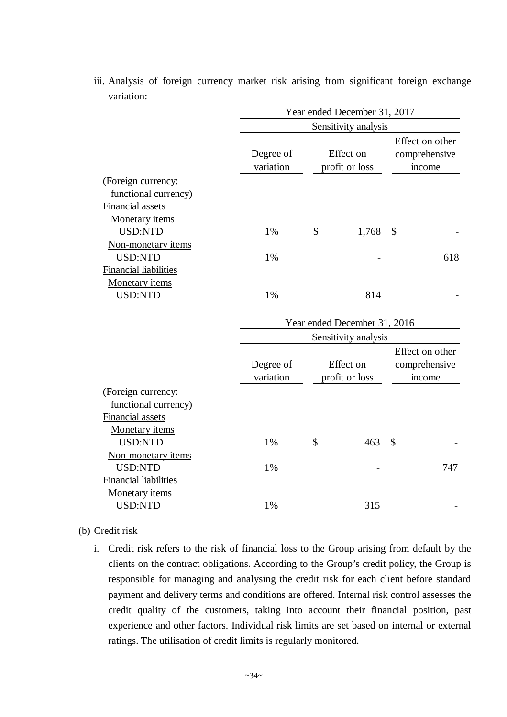|                              | Year ended December 31, 2017 |    |                             |                 |                                            |  |  |  |  |
|------------------------------|------------------------------|----|-----------------------------|-----------------|--------------------------------------------|--|--|--|--|
|                              | Sensitivity analysis         |    |                             |                 |                                            |  |  |  |  |
|                              | Degree of<br>variation       |    | Effect on<br>profit or loss |                 | Effect on other<br>comprehensive<br>income |  |  |  |  |
| (Foreign currency:           |                              |    |                             |                 |                                            |  |  |  |  |
| functional currency)         |                              |    |                             |                 |                                            |  |  |  |  |
| <b>Financial assets</b>      |                              |    |                             |                 |                                            |  |  |  |  |
| Monetary items               |                              |    |                             |                 |                                            |  |  |  |  |
| <b>USD:NTD</b>               | 1%                           | \$ | 1,768                       | \$              |                                            |  |  |  |  |
| Non-monetary items           |                              |    |                             |                 |                                            |  |  |  |  |
| <b>USD:NTD</b>               | 1%                           |    |                             |                 | 618                                        |  |  |  |  |
| <b>Financial liabilities</b> |                              |    |                             |                 |                                            |  |  |  |  |
| Monetary items               |                              |    |                             |                 |                                            |  |  |  |  |
| <b>USD:NTD</b>               | 1%                           |    | 814                         |                 |                                            |  |  |  |  |
|                              |                              |    |                             |                 |                                            |  |  |  |  |
|                              | Year ended December 31, 2016 |    |                             |                 |                                            |  |  |  |  |
|                              |                              |    | Sensitivity analysis        |                 |                                            |  |  |  |  |
|                              |                              |    |                             | Effect on other |                                            |  |  |  |  |
|                              | Degree of                    |    | Effect on                   |                 | comprehensive                              |  |  |  |  |
|                              | variation                    |    | profit or loss              |                 | income                                     |  |  |  |  |
| (Foreign currency:           |                              |    |                             |                 |                                            |  |  |  |  |
| functional currency)         |                              |    |                             |                 |                                            |  |  |  |  |
| Financial assets             |                              |    |                             |                 |                                            |  |  |  |  |
| <b>Monetary</b> items        |                              |    |                             |                 |                                            |  |  |  |  |
| <b>USD:NTD</b>               | 1%                           | \$ | 463                         | \$              |                                            |  |  |  |  |
| Non-monetary items           |                              |    |                             |                 |                                            |  |  |  |  |
| <b>USD:NTD</b>               | 1%                           |    |                             |                 | 747                                        |  |  |  |  |
| <b>Financial liabilities</b> |                              |    |                             |                 |                                            |  |  |  |  |
| Monetary items               |                              |    |                             |                 |                                            |  |  |  |  |
| <b>USD:NTD</b>               | 1%                           |    | 315                         |                 |                                            |  |  |  |  |

iii. Analysis of foreign currency market risk arising from significant foreign exchange variation:

#### (b) Credit risk

i. Credit risk refers to the risk of financial loss to the Group arising from default by the clients on the contract obligations. According to the Group's credit policy, the Group is responsible for managing and analysing the credit risk for each client before standard payment and delivery terms and conditions are offered. Internal risk control assesses the credit quality of the customers, taking into account their financial position, past experience and other factors. Individual risk limits are set based on internal or external ratings. The utilisation of credit limits is regularly monitored.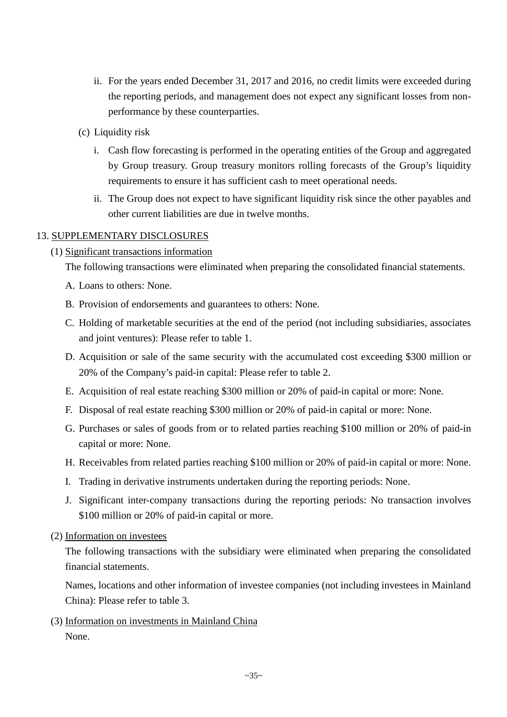- ii. For the years ended December 31, 2017 and 2016, no credit limits were exceeded during the reporting periods, and management does not expect any significant losses from nonperformance by these counterparties.
- (c) Liquidity risk
	- i. Cash flow forecasting is performed in the operating entities of the Group and aggregated by Group treasury. Group treasury monitors rolling forecasts of the Group's liquidity requirements to ensure it has sufficient cash to meet operational needs.
	- ii. The Group does not expect to have significant liquidity risk since the other payables and other current liabilities are due in twelve months.

## 13. SUPPLEMENTARY DISCLOSURES

(1) Significant transactions information

The following transactions were eliminated when preparing the consolidated financial statements.

- A. Loans to others: None.
- B. Provision of endorsements and guarantees to others: None.
- C. Holding of marketable securities at the end of the period (not including subsidiaries, associates and joint ventures): Please refer to table 1.
- D. Acquisition or sale of the same security with the accumulated cost exceeding \$300 million or 20% of the Company's paid-in capital: Please refer to table 2.
- E. Acquisition of real estate reaching \$300 million or 20% of paid-in capital or more: None.
- F. Disposal of real estate reaching \$300 million or 20% of paid-in capital or more: None.
- G. Purchases or sales of goods from or to related parties reaching \$100 million or 20% of paid-in capital or more: None.
- H. Receivables from related parties reaching \$100 million or 20% of paid-in capital or more: None.
- I. Trading in derivative instruments undertaken during the reporting periods: None.
- J. Significant inter-company transactions during the reporting periods: No transaction involves \$100 million or 20% of paid-in capital or more.
- (2) Information on investees

The following transactions with the subsidiary were eliminated when preparing the consolidated financial statements.

Names, locations and other information of investee companies (not including investees in Mainland China): Please refer to table 3.

(3) Information on investments in Mainland China None.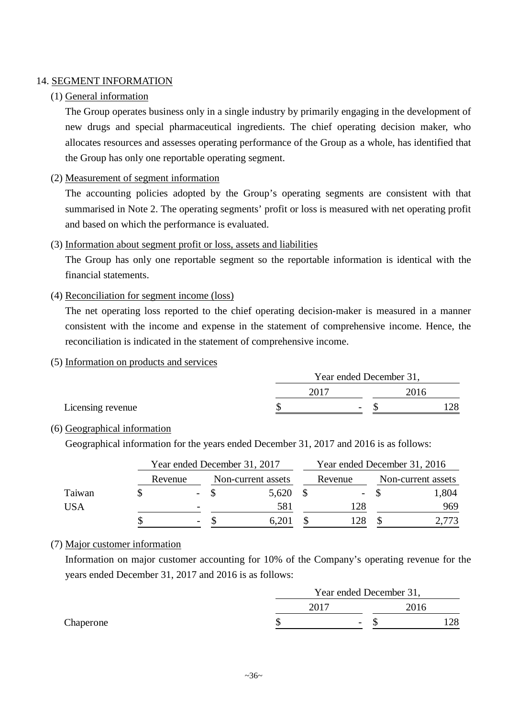#### 14. SEGMENT INFORMATION

### (1) General information

The Group operates business only in a single industry by primarily engaging in the development of new drugs and special pharmaceutical ingredients. The chief operating decision maker, who allocates resources and assesses operating performance of the Group as a whole, has identified that the Group has only one reportable operating segment.

#### (2) Measurement of segment information

The accounting policies adopted by the Group's operating segments are consistent with that summarised in Note 2. The operating segments' profit or loss is measured with net operating profit and based on which the performance is evaluated.

#### (3) Information about segment profit or loss, assets and liabilities

The Group has only one reportable segment so the reportable information is identical with the financial statements.

#### (4) Reconciliation for segment income (loss)

The net operating loss reported to the chief operating decision-maker is measured in a manner consistent with the income and expense in the statement of comprehensive income. Hence, the reconciliation is indicated in the statement of comprehensive income.

#### (5) Information on products and services

|                   | Year ended December 31, |                          |  |  |  |  |
|-------------------|-------------------------|--------------------------|--|--|--|--|
|                   |                         |                          |  |  |  |  |
| Licensing revenue |                         | $\overline{\phantom{0}}$ |  |  |  |  |

#### (6) Geographical information

Geographical information for the years ended December 31, 2017 and 2016 is as follows:

|            |         |   | Year ended December 31, 2017 |       |         |                          | Year ended December 31, 2016 |       |
|------------|---------|---|------------------------------|-------|---------|--------------------------|------------------------------|-------|
|            | Revenue |   | Non-current assets           |       | Revenue |                          | Non-current assets           |       |
| Taiwan     |         |   |                              | 5,620 |         | $\overline{\phantom{a}}$ |                              | 1,804 |
| <b>USA</b> |         |   |                              | 581   |         | 128                      |                              | 969   |
|            |         | - |                              | 6.201 |         | 128                      |                              |       |

### (7) Major customer information

Information on major customer accounting for 10% of the Company's operating revenue for the years ended December 31, 2017 and 2016 is as follows:

|           | Year ended December 31, |                          |  |  |  |
|-----------|-------------------------|--------------------------|--|--|--|
|           | 2017                    |                          |  |  |  |
| Chaperone |                         | $\overline{\phantom{0}}$ |  |  |  |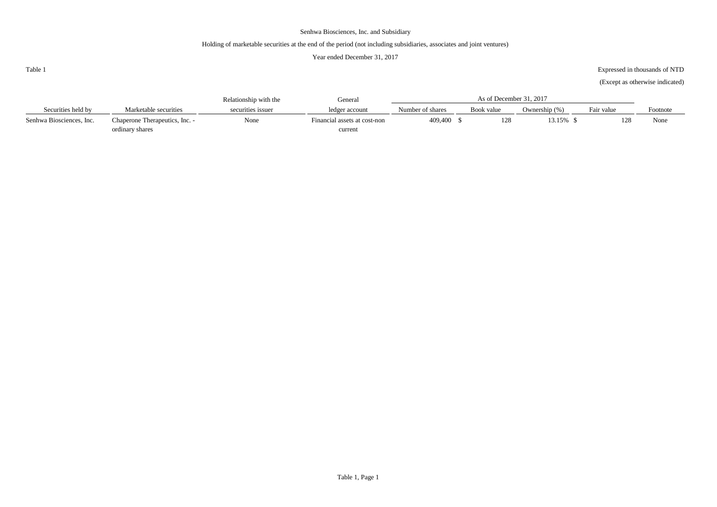#### Senhwa Biosciences, Inc. and Subsidiary

#### Holding of marketable securities at the end of the period (not including subsidiaries, associates and joint ventures)

#### Year ended December 31, 2017

Table 1

Expressed in thousands of NTD

(Except as otherwise indicated)

|                          |                                | Relationship with the | General                      |                  |            |                  |            |          |
|--------------------------|--------------------------------|-----------------------|------------------------------|------------------|------------|------------------|------------|----------|
| Securities held by       | Marketable securities          | securities issuer     | ledger account               | Number of shares | Book value | Ownership $(\%)$ | Fair value | Footnote |
| Senhwa Biosciences, Inc. | Chaperone Therapeutics, Inc. - | None                  | Financial assets at cost-non | 409,400 \$       | 128        | 13.15%           | 128        | None     |
|                          | ordinary shares                |                       | current                      |                  |            |                  |            |          |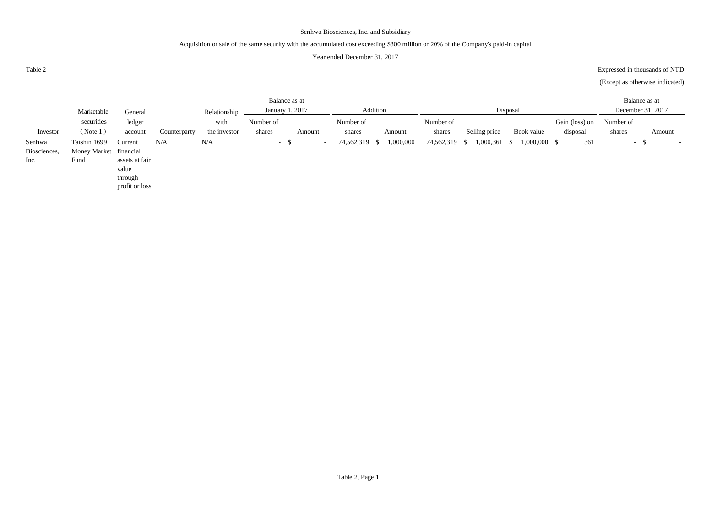#### Senhwa Biosciences, Inc. and Subsidiary

#### Acquisition or sale of the same security with the accumulated cost exceeding \$300 million or 20% of the Company's paid-in capital

#### Year ended December 31, 2017

Table 2

Expressed in thousands of NTD

(Except as otherwise indicated)

|                                |                                             | Balance as at                                                                |              |              |           |                 |               |           |               |               |                   |                |           | Balance as at  |
|--------------------------------|---------------------------------------------|------------------------------------------------------------------------------|--------------|--------------|-----------|-----------------|---------------|-----------|---------------|---------------|-------------------|----------------|-----------|----------------|
|                                | Marketable                                  | General                                                                      |              | Relationship |           | January 1, 2017 |               | Addition  |               | Disposal      | December 31, 2017 |                |           |                |
|                                | securities                                  | ledger                                                                       |              | with         | Number of |                 | Number of     |           | Number of     |               |                   | Gain (loss) on | Number of |                |
| Investor                       | (Note 1)                                    | account                                                                      | Counterparty | the investor | shares    | Amount          | shares        | Amount    | shares        | Selling price | Book value        | disposal       | shares    | Amount         |
| Senhwa<br>Biosciences,<br>Inc. | Taishin 1699<br><b>Money Market</b><br>Fund | Current<br>financial<br>assets at fair<br>value<br>through<br>profit or loss | N/A          | N/A          | - 5       |                 | 74,562,319 \$ | 1,000,000 | 74,562,319 \$ | 1,000,361     | 1,000,000 \$      | 361            | - ა       | $\overline{a}$ |